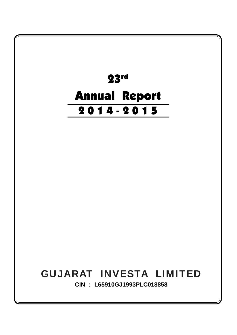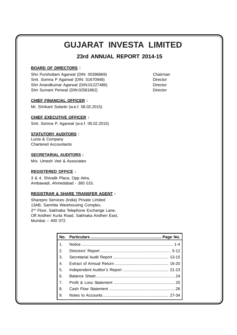# **GUJARAT INVESTA LIMITED**

# **23rd ANNUAL REPORT 2014-15**

## **BOARD OF DIRECTORS :**

Shri Purshottam Agarwal (DIN: 00396869) Chairman Smt. Somna P Agarwal (DIN: 01670948) Director Shri Anandkumar Agarwal (DIN:01227486) Director Shri Sumant Periwal (DIN:02561862) Director

## **CHIEF FINANCIAL OFFICER :**

Mr. Shrikant Solanki (w.e.f. 06.02.2015)

## **CHIEF EXECUTIVE OFFICER :**

Smt. Somna P. Agarwal (w.e.f. 06.02.2015)

## **STATUTORY AUDITORS :**

Lunia & Company Chartered Accountants

## **SECRETARIAL AUDITORS :**

M/s. Umesh Ved & Associates

## **REGISTERED OFFICE :**

3 & 4, Shivalik Plaza, Opp Atira, Ambawadi, Ahmedabad - 380 015.

## **REGISTRAR & SHARE TRANSFER AGENT :**

Sharepro Services (India) Private Limited 13AB, Samhita Warehousing Complex, 2<sup>nd</sup> Floor, Saklnaka Telephone Exchange Lane, Off Andheri Kurla Road, Saklnaka Andheri East, Mumbai – 400 072.

| No.              |  |
|------------------|--|
| 1.               |  |
| 2.               |  |
| 3.               |  |
| 4.               |  |
| 5.               |  |
| 6.               |  |
| $\overline{7}$ . |  |
| 8.               |  |
| 9.               |  |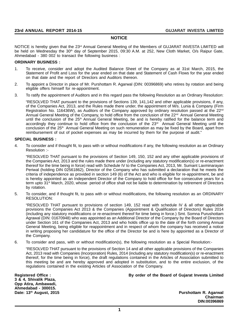## **NOTICE**

NOTICE is hereby given that the 23<sup>rd</sup> Annual General Meeting of the Members of GUJARAT INVESTA LIMITED will be held on Wednesday the 30<sup>th</sup> day of September 2015, 09:30 A.M. at 252, New Cloth Market, O/s Raipur Gate, Ahmedabad - 380 002 to transact the following business :

### **ORDINARY BUSINESS :**

- 1. To receive, consider and adopt the Audited Balance Sheet of the Company as at 31st March, 2015, the Statement of Profit and Loss for the year ended on that date and Statement of Cash Flows for the year ended on that date and the report of Directors and Auditors thereon.
- 2. To appoint a Director in place of Mr. Purshottam R. Agarwal (DIN: 00396869) who retires by rotation and being eligible offers himself for re-appointment.
- 3. To ratify the appointment of Auditors and in this regard pass the following Resolution as an Ordinary Resolution:

"RESOLVED THAT pursuant to the provisions of Sections 139, 141,142 and other applicable provisions, if any, of the Companies Act, 2013, and the Rules made there under, the appointment of M/s. Lunia & Company (Firm Registration No. 116436W), as Auditors of the Company approved by ordinary resolution passed at the 22<sup>nd</sup> Annual General Meeting of the Company, to hold office from the conclusion of the 22<sup>nd</sup> Annual General Meeting until the conclusion of the 25<sup>th</sup> Annual General Meeting, be and is hereby ratified for the balance term and accordingly they continue to hold office from the conclusion of the  $23<sup>rd</sup>$  Annual General Meeting until the conclusion of the 25<sup>th</sup> Annual General Meeting on such remuneration as may be fixed by the Board, apart from reimbursement of out of pocket expenses as may be incurred by them for the purpose of audit."

### **SPECIAL BUSINESS :**

4. To consider and if thought fit, to pass with or without modifications if any, the following resolution as an Ordinary Resolution :-

"RESOLVED THAT pursuant to the provisions of Section 149, 150, 152 and any other applicable provisions of the Companies Act, 2013 and the rules made there under (including any statutory modification(s) or re-enactment thereof for the time being in force) read with Schedule IV to the Companies Act, 2013, Mr. Sumant Laxminarayan Periwal (holding DIN 02561862), Director of the Company who has submitted a declaration that he meets the criteria of independence as provided in section 149 (6) of the Act and who is eligible for re-appointment, be and is hereby appointed as an Independent Director of the Company to hold office for five consecutive years for a term upto 31st March, 2020, whose period of office shall not be liable to determination by retirement of Directors by rotation.

5. To consider, and if thought fit, to pass with or without modifications, the following resolution as an ORDINARY RESOLUTION:

"RESOLVED THAT pursuant to provisions of section 149, 152 read with schedule IV & all other applicable provisions the Companies Act 2013 & the Companies (Appointment & Qualification of Directors) Rules 2014 (including any statutory modifications or re-enactment thereof for time being in force.) Smt. Somna Purushottam Agrawal (DIN: 01670948) who was appointed as an Additional Director of the Company by the Board of Directors under Section 161 of the Companies Act, 2013 and who holds office up to the date of the forth coming Annual General Meeting, being eligible for reappointment and in respect of whom the company has received a notice in writing proposing her candidature for the office of the Director be and is here by appointed as a Director of the Company.

6. To consider and pass, with or without modification(s), the following resolution as a Special Resolution:-

"RESOLVED THAT pursuant to the provisions of Section 14 and all other applicable provisions of the Companies Act, 2013 read with Companies (Incorporation) Rules, 2014 (including any statutory modification(s) or re-enactment thereof, for the time being in force), the draft regulations contained in the Articles of Association submitted to this meeting be and are hereby approved and adopted in substitution, and to the entire exclusion, of the regulations contained in the existing Articles of Association of the Company.

| <b>Registered Office:</b> |
|---------------------------|
| 3 & 4, Shivalik Plaza,    |
| Opp Atira, Ambawadi,      |
| Ahmedabad - 300015.       |
| Date: 13th August, 2015   |

### **By order of the Board of Gujarat Investa Limited**

**Purshottam R. Agarwal Chairman DIN:00396869**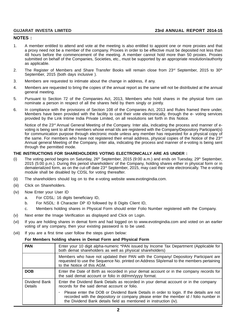## **NOTES :**

- 1. A member entitled to attend and vote at the meeting is also entitled to appoint one or more proxies and that a proxy need not be a member of the company. Proxies in order to be effective must be deposited not less than 48 hours before the commencement of the meeting. A member cannot hold more than 50 proxies. Proxies submitted on behalf of the Companies, Societies, etc., must be supported by an appropriate resolution/authority as applicable.
- 2. The Register of Members and Share Transfer Books will remain close from  $23<sup>rd</sup>$  September, 2015 to  $30<sup>th</sup>$ September, 2015 (both days inclusive ).
- 3. Members are requested to intimate about the change in address, if any.
- 4. Members are requested to bring the copies of the annual report as the same will not be distributed at the annual general meeting.
- 5. Pursuant to Section 72 of the Companies Act, 2013, Members who hold shares in the physical form can nominate a person in respect of all the shares held by them singly or jointly.
- 6. In compliance with the provisions of Section 108 of the Companies Act, 2013 and Rules framed there under, Members have been provided with the facility to cast their vote electronically, through the e- voting services provided by the Link Intime India Private Limited, on all resolutions set forth in this Notice.

Notice of the 23<sup>rd</sup> Annual General Meeting of the Company. Inter alia, indicating the process and manner of evoting is being sent to all the members whose email Ids are registered with the Company/Depository Participant(s) for communication purpose through electronic mode unless any member has requested for a physical copy of the same. For members who have not registered their email address, physical copies of the Notice of the 23<sup>rd</sup> Annual general Meeting of the Company, inter alia, indicating the process and manner of e-voting is being sent through the permitted mode.

## **THE INSTRUCTIONS FOR SHAREHOLDERS VOTING ELECTRONICALLY ARE AS UNDER :**

- (i) The voting period begins on Saturday,  $26<sup>th</sup>$  September, 2015 (9:00 a.m.) and ends on Tuesday,  $29<sup>th</sup>$  September, 2015 (5:00 p.m.). During this period shareholders' of the Company, holding shares either in physical form or in dematerialized form, as on the cut-off date 23rd September, 2015, may cast their vote electronically. The e-voting module shall be disabled by CDSL for voting thereafter.
- (ii) The shareholders should log on to the e-voting website www.evotingindia.com.
- (iii) Click on Shareholders.
- (iv) Now Enter your User ID
	- a. For CDSL: 16 digits beneficiary ID,
	- b. For NSDL: 8 Character DP ID followed by 8 Digits Client ID.
	- c. Members holding shares in Physical Form should enter Folio Number registered with the Company.
- (v) Next enter the Image Verification as displayed and Click on Login.
- (vi) If you are holding shares in demat form and had logged on to www.evotingindia.com and voted on an earlier voting of any company, then your existing password is to be used.
- (vii) If you are a first time user follow the steps given below:

### **For Members holding shares in Demat Form and Physical Form**

| <b>PAN</b>                      | Enter your 10 digit alpha-numeric *PAN issued by Income Tax Department (Applicable for<br>both demat shareholders as well as physical shareholders)                                                                                                  |
|---------------------------------|------------------------------------------------------------------------------------------------------------------------------------------------------------------------------------------------------------------------------------------------------|
|                                 | Members who have not updated their PAN with the Company/ Depository Participant are<br>requested to use the Sequence No. printed on Address Slip/email to the members pertaining<br>to the Notice of this AGM.                                       |
| <b>DOB</b>                      | Enter the Date of Birth as recorded in your demat account or in the company records for<br>the said demat account or folio in dd/mm/yyyy format.                                                                                                     |
| Dividend Bank<br><b>Details</b> | Enter the Dividend Bank Details as recorded in your demat account or in the company<br>records for the said demat account or folio.                                                                                                                  |
|                                 | Please enter the DOB or Dividend Bank Details in order to login. If the details are not<br>recorded with the depository or company please enter the member id / folio number in<br>the Dividend Bank details field as mentioned in instruction (iv). |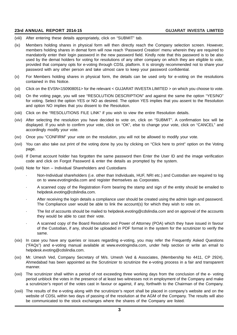- (viii) After entering these details appropriately, click on "SUBMIT" tab.
- (ix) Members holding shares in physical form will then directly reach the Company selection screen. However, members holding shares in demat form will now reach 'Password Creation' menu wherein they are required to mandatorily enter their login password in the new password field. Kindly note that this password is to be also used by the demat holders for voting for resolutions of any other company on which they are eligible to vote, provided that company opts for e-voting through CDSL platform. It is strongly recommended not to share your password with any other person and take utmost care to keep your password confidential.
- (x) For Members holding shares in physical form, the details can be used only for e-voting on the resolutions contained in this Notice.
- (xi) Click on the EVSN<150908051> for the relevant < GUJARAT INVESTA LIMITED > on which you choose to vote.
- (xii) On the voting page, you will see "RESOLUTION DESCRIPTION" and against the same the option "YES/NO" for voting. Select the option YES or NO as desired. The option YES implies that you assent to the Resolution and option NO implies that you dissent to the Resolution.
- (xiii) Click on the "RESOLUTIONS FILE LINK" if you wish to view the entire Resolution details.
- (xiv) After selecting the resolution you have decided to vote on, click on "SUBMIT". A confirmation box will be displayed. If you wish to confirm your vote, click on "OK", else to change your vote, click on "CANCEL" and accordingly modify your vote.
- (xv) Once you "CONFIRM" your vote on the resolution, you will not be allowed to modify your vote.
- (xvi) You can also take out print of the voting done by you by clicking on "Click here to print" option on the Voting page.
- (xvii) If Demat account holder has forgotten the same password then Enter the User ID and the image verification code and click on Forgot Password & enter the details as prompted by the system.
- (xviii) Note for Non Individual Shareholders and Custodians
	- · Non-Individual shareholders (i.e. other than Individuals, HUF, NRI etc.) and Custodian are required to log on to www.evotingindia.com and register themselves as Corporates.
	- · A scanned copy of the Registration Form bearing the stamp and sign of the entity should be emailed to helpdesk.evoting@cdslindia.com.
	- After receiving the login details a compliance user should be created using the admin login and password. The Compliance user would be able to link the account(s) for which they wish to vote on.
	- The list of accounts should be mailed to helpdesk.evoting@cdslindia.com and on approval of the accounts they would be able to cast their vote.
	- A scanned copy of the Board Resolution and Power of Attorney (POA) which they have issued in favour of the Custodian, if any, should be uploaded in PDF format in the system for the scrutinizer to verify the same.
- (xix) In case you have any queries or issues regarding e-voting, you may refer the Frequently Asked Questions ("FAQs") and e-voting manual available at www.evotingindia.com, under help section or write an email to helpdesk.evoting@cdslindia.com.
- (xx) Mr. Umesh Ved, Company Secretary of M/s. Umesh Ved & Associates, (Membership No 4411, CP 2924), Ahmedabad has been appointed as the Scrutinizer to scrutinize the e-voting process in a fair and transparent manner.
- (xxi) The scrutinizer shall within a period of not exceeding three working days from the conclusion of the e- voting period unblock the votes in the presence of at least two witnesses not in employment of the Company and make a scrutinizer's report of the votes cast in favour or against, if any, forthwith to the Chairman of the Company.
- (xxii) The results of the e-voting along with the scrutinizer's report shall be placed in company's website and on the website of CDSL within two days of passing of the resolution at the AGM of the Company. The results will also be communicated to the stock exchanges where the shares of the Company are listed.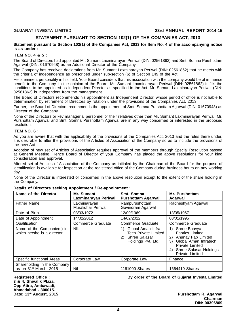## **STATEMENT PURSUANT TO SECTION 102(1) OF THE COMPANIES ACT, 2013**

### **Statement pursuant to Section 102(1) of the Companies Act, 2013 for Item No. 4 of the accompanying notice is as under :**

## **ITEM NO. 4 & 5 :**

The Board of Directors had appointed Mr. Sumant Laxminarayan Periwal (DIN: 02561862) and Smt. Somna Purshottam Agarwal (DIN: 01670948) as an Additional Director of the Company.

The Company has received declarations from Mr. Sumant Laxminarayan Periwal (DIN: 02561862) that he meets with the criteria of independence as prescribed under sub-section (6) of Section 149 of the Act.

He is eminent personality in his field. Your Board considers that his association with the company would be of immense benefit to the Company. In the opinion of the Board, Mr. Sumant Laxminarayan Periwal (DIN: 02561862) fulfills the conditions to be appointed as Independent Director as specified in the Act. Mr. Sumant Laxminarayan Periwal (DIN: 02561862) is independent from the management.

The Board of Directors recommends his appointment as Independent Director, whose period of office is not liable to determination by retirement of Directors by rotation under the provisions of the Companies Act, 2013.

Further, the Board of Directors recommends the appointment of Smt. Somna Purshottam Agarwal (DIN: 01670948) as Director of the Company.

None of the Directors or key managerial personnel or their relatives other than Mr. Sumant Laxminarayan Periwal, Mr. Purshottam Agarwal and Smt. Somna Purshottam Agarwal are in any way concerned or interested in the proposed resolution.

### **ITEM NO. 6 :**

As you are aware that with the applicability of the provisions of the Companies Act, 2013 and the rules there under, it is desirable to alter the provisions of the Articles of Association of the Company so as to include the provisions of the new Act.

Adoption of new set of Articles of Association requires approval of the members through Special Resolution passed at General Meeting. Hence Board of Director of your Company has placed the above resolutions for your kind consideration and approval.

Altered set of Articles of Association of the Company as initialed by the Chairman of the Board for the purpose of identification is available for inspection at the registered office of the Company during business hours on any working day.

None of the Director is interested or concerned in the above resolution except to the extent of the share holding in the Company.

| Name of the Director                                              | Mr. Sumant<br>Laxminarayan Periwal | Smt. Somna<br><b>Purshottam Agarwal</b>                                                             | Mr. Purshottam<br>Agarwal                                                                                                                                                                   |
|-------------------------------------------------------------------|------------------------------------|-----------------------------------------------------------------------------------------------------|---------------------------------------------------------------------------------------------------------------------------------------------------------------------------------------------|
| <b>Father Name</b>                                                | Laxminarayan<br>Muralidhar Periwal | Rampurushottam<br>Govindram Agarwal                                                                 | Radheshyam Agarwal                                                                                                                                                                          |
| Date of Birth                                                     | 08/03/1972                         | 12/09/1969                                                                                          | 18/05/1967                                                                                                                                                                                  |
| Date of Appointment                                               | 14/02/2012                         | 14/02/2012                                                                                          | 03/01/1995                                                                                                                                                                                  |
| Qualification                                                     | <b>Commerce Graduate</b>           | <b>Commerce Graduate</b>                                                                            | <b>Commerce Graduate</b>                                                                                                                                                                    |
| Name of the Companie(s) in<br>which he/she is a director          | <b>NIL</b>                         | Global Aman Infra<br>1)<br><b>Tech Private Limited</b><br>Shree Salasar<br>2)<br>Holdings Pvt. Ltd. | Shree Bhavya<br>1)<br><b>Fabrics Limited</b><br>Anunay Fab Limited<br>2)<br>Global Aman Infratech<br>3)<br><b>Private Limited</b><br>Shree Salasar Holdings<br>4)<br><b>Private Limited</b> |
| Specific functional Areas                                         | Corporate Law                      | Corporate Law                                                                                       | Finance                                                                                                                                                                                     |
| Shareholding in the Company<br>as on 31 <sup>st</sup> March, 2015 | Nil                                | 1161000 Shares                                                                                      | 1664419 Shares                                                                                                                                                                              |

#### **Details of Directors seeking Appointment / Re-appointment :**

**3 & 4, Shivalik Plaza, Opp Atira, Ambawadi, Ahmedabad - 300015.**

#### **Registered Office : By order of the Board of Gujarat Investa Limited**

**Purshottam R. Agarwal Chairman DIN: 00396869**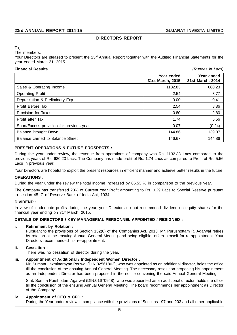## **DIRECTORS REPORT**

To,

The members,

Your Directors are pleased to present the 23<sup>rd</sup> Annual Report together with the Audited Financial Statements for the year ended March 31, 2015.

## **Financial Results :** *(Rupees in Lacs)*

|                                          | Year ended<br>31st March, 2015 | Year ended<br>31st March, 2014 |
|------------------------------------------|--------------------------------|--------------------------------|
| Sales & Operating Income                 | 1132.83                        | 680.23                         |
| <b>Operating Profit</b>                  | 2.54                           | 8.77                           |
| Depreciation & Preliminary Exp.          | 0.00                           | 0.41                           |
| Profit Before Tax                        | 2.54                           | 8.36                           |
| Provision for Taxes                      | 0.80                           | 2.80                           |
| Profit after Tax                         | 1.74                           | 5.56                           |
| Short/Excess provision for previous year | 0.07                           | (0.24)                         |
| <b>Balance Brought Down</b>              | 144.86                         | 139.07                         |
| Balance carried to Balance Sheet         | 146.67                         | 144.86                         |

## **PRESENT OPERATIONS & FUTURE PROSPECTS :**

During the year under review, the revenue from operations of company was Rs. 1132.83 Lacs compared to the previous years of Rs. 680.23 Lacs. The Company has made profit of Rs. 1.74 Lacs as compared to Profit of Rs. 5.56 Lacs in previous year.

Your Directors are hopeful to exploit the present resources in efficient manner and achieve better results in the future.

## **OPERATIONS :**

During the year under the review the total income increased by 66.53 % in comparison to the previous year.

The Company has transferred 20% of Current Year Profit amounting to Rs. 0.29 Lacs to Special Reserve pursuant to section 45-IC of Reserve Bank of India Act, 1934.

## **DIVIDEND :**

In view of inadequate profits during the year, your Directors do not recommend dividend on equity shares for the financial year ending on 31<sup>st</sup> March, 2015.

### **DETAILS OF DIRECTORS / KEY MANAGERIAL PERSONNEL APPOINTED / RESIGNED :**

### **i. Retirement by Rotation :**

Pursuant to the provisions of Section 152(6) of the Companies Act, 2013, Mr. Purushottam R. Agarwal retires by rotation at the ensuing Annual General Meeting and being eligible, offers himself for re-appointment. Your Directors recommended his re-appointment.

### **ii. Cessation :**

There was no cessation of director during the year.

### **iii. Appointment of Additional / Independent Women Director :**

Mr. Sumant Laxminarayan Periwal (DIN:02561862), who was appointed as an additional director, holds the office till the conclusion of the ensuing Annual General Meeting. The necessary resolution proposing his appointment as an Independent Director has been proposed in the notice convening the said Annual General Meeting.

Smt. Somna Purshottam Agarwal (DIN:01670948), who was appointed as an additional director, holds the office till the conclusion of the ensuing Annual General Meeting. The board recommends her appointment as Director of the Company.

## **iv. Appointment of CEO & CFO :**

During the Year under review in compliance with the provisions of Sections 197 and 203 and all other applicable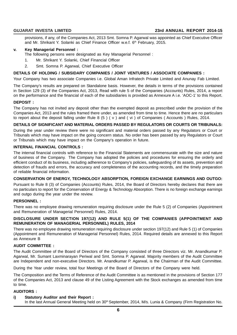provisions, if any, of the Companies Act, 2013 Smt. Somna P. Agarwal was appointed as Chief Executive Officer and Mr. Shrikant Y. Solanki as Chief Finance Officer w.e.f.  $6<sup>th</sup>$  February, 2015.

### **v. Key Managerial Personnel :**

- The following persons were designated as Key Managerial Personnel :
- 1. Mr. Shrikant Y. Solanki, Chief Financial Officer
- 2. Smt. Somna P. Agarwal, Chief Executive Officer

## **DETAILS OF HOLDING / SUBSIDARY COMPANIES / JOINT VENTURES / ASSOCIATE COMPANIES :**

Your Company has two associate Companies i.e. Global Aman Infratech Private Limited and Anunay Fab Limited.

The Company's results are prepared on Standalone basis. However, the details in terms of the provisions contained in Section 129 (3) of the Companies Act, 2013, Read with rule 5 of the Companies (Accounts) Rules, 2014, a report on the performance and the financial of each of the subsidiaries is provided as Annexure A i.e. 'AOC-1' to this Report.

## **DEPOSIT :**

The Company has not invited any deposit other than the exempted deposit as prescribed under the provision of the Companies Act, 2013 and the rules framed there under, as amended from time to time. Hence there are no particulars to report about the deposit falling under Rule 8 (5 ) ( v ) and ( vi ) of Companies ( Accounts ) Rules, 2014.

## **DETAILS OF SIGNIFICANT AND MATERIAL ORDERS PASSED BY REGULATORS OR COURTS OR TRIBUNALS:**

During the year under review there were no significant and material orders passed by any Regulators or Court or Tribunals which may have impact on the going concern status. No order has been passed by any Regulators or Court or Tribunals which may have impact on the Company's operation in future.

## **INTERNAL FINANCIAL CONTROLS :**

The internal financial controls with reference to the Financial Statements are commensurate with the size and nature of business of the Company. The Company has adopted the policies and procedures for ensuring the orderly and efficient conduct of its business, including adherence to Company's policies, safeguarding of its assets, prevention and detection of frauds and errors, the accuracy and completeness of the accounting records, and the timely preparation of reliable financial information.

### **CONSERVATION OF ENERGY, TECHNOLOGY ABSORPTION, FOREIGN EXCHANGE EARNINGS AND OUTGO:**

Pursuant to Rule 8 (3) of Companies (Accounts) Rules, 2014, the Board of Directors hereby declares that there are no particulars to report for the Conservation of Energy & Technology Absorption. There is no foreign exchange earnings and outgo during the year under the review.

### **PERSONNEL :**

There was no employee drawing remuneration requiring disclosure under the Rule 5 (2) of Companies (Appointment and Remuneration of Managerial Personnel) Rules, 2014.

## **DISCLOSURE UNDER SECTION 197(12) AND RULE 5(1) OF THE COMPANIES (APPOINTMENT AND REMUNERATION OF MANAGERIAL PERSONNEL) RULES, 2014**

There was no employee drawing remuneration requiring disclosure under section 197(12) and Rule 5 (1) of Companies (Appointment and Remuneration of Managerial Personnel) Rules, 2014. Required details are annexed to this Report as Annexure B

### **AUDIT COMMITTEE :**

The Audit Committee of the Board of Directors of the Company consisted of three Directors viz. Mr. Anandkumar P. Agarwal, Mr. Sumant Laxminarayan Periwal and Smt. Somna P. Agarwal. Majority members of the Audit Committee are Independent and non-executive Directors. Mr. Anandkumar P. Agarwal, is the Chairman of the Audit Committee.

During the Year under review, total four Meetings of the Board of Directors of the Company were held.

The Composition and the Terms of Reference of the Audit Committee is as mentioned in the provisions of Section 177 of the Companies Act, 2013 and clause 49 of the Listing Agreement with the Stock exchanges as amended from time to time.

### **AUDITORS :**

**i) Statutory Auditor and their Report :**

In the last Annual General Meeting held on 30<sup>th</sup> September, 2014, M/s. Lunia & Company (Firm Registration No.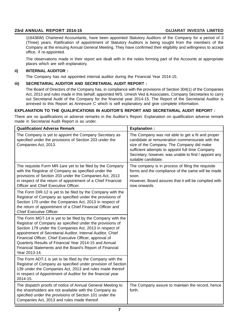116436W) Chartered Accountants, have been appointed Statutory Auditors of the Company for a period of 3 (Three) years. Ratification of appointment of Statutory Auditors is being sought from the members of the Company at the ensuing Annual General Meeting. They have confirmed their eligibility and willingness to accept office, if re-appointed.

The observations made in their report are dealt with in the notes forming part of the Accounts at appropriate places which are self–explanatory.

### **ii) INTERNAL AUDITOR :**

The Company has not appointed internal auditor during the Financial Year 2014-15.

## **iii) SECRETARIAL AUDITOR AND SECRETARIAL AUDIT REPORT :**

The Board of Directors of the Company has, in compliance with the provisions of Section 304(1) of the Companies Act, 2013 and rules made in this behalf, appointed M/S. Umesh Ved & Associates, Company Secretaries to carry out Secretarial Audit of the Company for the financial year 2014-15. The Report of the Secretarial Auditor is annexed to this Report as Annexure C which is self explanatory and give complete information.

## **EXPLANATION TO THE QUALIFICATIONS IN AUDITOR'S REPORT AND SECRETARIAL AUDIT REPORT :**

There are no qualifications or adverse remarks in the Auditor's Report. Explanation on qualification adverse remark made in Secretarial Audit Report is as under.

| <b>Qualification/ Adverse Remark</b>                                                                                                                                                                                                                                                                                                                                                                                                                | <b>Explanation:</b>                                                                                                                                                                                                                                                                 |  |
|-----------------------------------------------------------------------------------------------------------------------------------------------------------------------------------------------------------------------------------------------------------------------------------------------------------------------------------------------------------------------------------------------------------------------------------------------------|-------------------------------------------------------------------------------------------------------------------------------------------------------------------------------------------------------------------------------------------------------------------------------------|--|
| The Company is yet to appoint the Company Secretary as<br>specified under the provisions of Section 203 under the<br>Companies Act, 2013.                                                                                                                                                                                                                                                                                                           | The Company was not able to get a fit and proper<br>candidate at remuneration commensurate with the<br>size of the Company. The Company did make<br>sufficient attempts to appoint full time Company<br>Secretary, however, was unable to find / appoint any<br>suitable candidate. |  |
| The requisite Form MR-1are yet to be filed by the Company<br>with the Registrar of Company as specified under the<br>provisions of Section 203 under the Companies Act, 2013<br>in respect of the return of appointment of a Chief Financial<br>Officer and Chief Executive Officer.                                                                                                                                                                | The company is in process of filing the requisite<br>forms and the compliance of the same will be made<br>soon.<br>However, Board assures that it will be complied with<br>now onwards.                                                                                             |  |
| The Form DIR-12 is yet to be filed by the Company with the<br>Registrar of Company as specified under the provisions of<br>Section 170 under the Companies Act, 2013 in respect of<br>the return of appointment of a Chief Financial Officer and<br><b>Chief Executive Officer</b>                                                                                                                                                                  |                                                                                                                                                                                                                                                                                     |  |
| The Form MGT-14 is yet to be filed by the Company with the<br>Registrar of Company as specified under the provisions of<br>Section 179 under the Companies Act, 2013 in respect of<br>appointment of Secretarial Auditor, Internal Auditor, Chief<br>Financial Officer, Chief Executive Officer, approval of<br>Quarterly Results of Financial Year 2014-15 and Annual<br>Financial Statements and the Board's Report of Financial<br>Year 2013-14. |                                                                                                                                                                                                                                                                                     |  |
| The Form ADT-1 is yet to be filed by the Company with the<br>Registrar of Company as specified under provision of Section<br>139 under the Companies Act, 2013 and rules made thereof<br>in respect of Appointment of Auditor for the financial year<br>2014-15.                                                                                                                                                                                    |                                                                                                                                                                                                                                                                                     |  |
| The dispatch proofs of notice of Annual General Meeting to<br>the shareholders are not available with the Company as<br>specified under the provisions of Section 101 under the<br>Companies Act, 2013 and rules made thereof.                                                                                                                                                                                                                      | The Company assure to maintain the record, hence<br>forth.                                                                                                                                                                                                                          |  |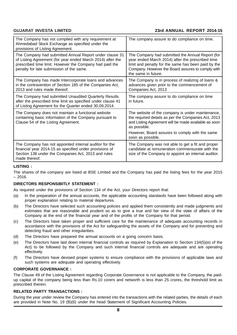| The Company has not complied with any requirement at<br>Ahmedabad Stock Exchange as specified under the<br>provisions of Listing Agreement.                                                                                  | The company assure to do compliance on time.                                                                                                                                                                                            |
|------------------------------------------------------------------------------------------------------------------------------------------------------------------------------------------------------------------------------|-----------------------------------------------------------------------------------------------------------------------------------------------------------------------------------------------------------------------------------------|
| The Company had submitted Annual Report under clause 31<br>of Listing Agreement (for year ended March 2014) after the<br>prescribed time limit. However the Company had paid the<br>penalty for late submission of the same. | The Company had submitted the Annual Report (for<br>year ended March 2014) after the prescribed time<br>limit and penalty for the same has been paid by the<br>Company. However the Board assures to comply with<br>the same in future. |
| The Company has made Intercorporate loans and advances<br>in the contravention of Section 185 of the Companies Act,<br>2013 and rules made thereof.                                                                          | The Company is in process of realizing of loans &<br>advances given prior to the commencement of<br>Companies Act, 2013                                                                                                                 |
| The Company had submitted Unaudited Quarterly Results<br>after the prescribed time limit as specified under clause 41<br>of Listing Agreement for the Quarter ended 30.09.2014.                                              | The company assure to do compliance on time<br>in future.                                                                                                                                                                               |
| The Company does not maintain a functional website<br>containing basic information of the Company pursuant to<br>Clause 54 of the Listing Agreement.                                                                         | The website of the company is under maintenance,<br>the required details as per the Companies Act, 2013<br>and Listing Agreement will be made available as soon<br>as possible.                                                         |
|                                                                                                                                                                                                                              | However, Board assures to comply with the same<br>soon as possible.                                                                                                                                                                     |
| The Company has not appointed internal auditor for the<br>financial year 2014-15 as specified under provisions of<br>Section 138 under the Companies Act, 2013 and rules<br>made thereof.                                    | The Company was not able to get a fit and proper<br>candidate at remuneration commensurate with the<br>size of the Company to appoint an internal auditor.                                                                              |

## **LISTING :**

The shares of the company are listed at BSE Limited and the Company has paid the listing fees for the year 2015  $-2016.$ 

## **DIRECTORS RESPONSIBITLY STATEMENT :**

As required under the provisions of Section 134 of the Act, your Directors report that:

- (a) In the preparation of the annual accounts, the applicable accounting standards have been followed along with proper explanation relating to material departures.
- (b) The Directors have selected such accounting policies and applied them consistently and made judgments and estimates that are reasonable and prudent so as to give a true and fair view of the state of affairs of the Company at the end of the financial year and of the profits of the Company for that period.
- (c) The Directors have taken proper and sufficient care for the maintenance of adequate accounting records in accordance with the provisions of the Act for safeguarding the assets of the Company and for preventing and detecting fraud and other irregularities.
- (d) The Directors have prepared the annual accounts on a going concern basis.
- (e) The Directors have laid down internal financial controls as required by Explanation to Section 134(5)(e) of the Act) to be followed by the Company and such internal financial controls are adequate and are operating effectively.
- (f) The Directors have devised proper systems to ensure compliance with the provisions of applicable laws and such systems are adequate and operating effectively.

### **CORPORATE GOVERNANCE :**

The Clause 49 of the Listing Agreement regarding Corporate Governance is not applicable to the Company, the paidup capital of the company being less than Rs.10 corers and networth is less than 25 crores, the threshold limit as prescribed therein.

### **RELATED PARTY TRANSACTIONS :**

During the year under review the Company has entered into the transactions with the related parties, the details of each are provided in Note No. 19 (B)(6) under the head Statement of Significant Accounting Policies.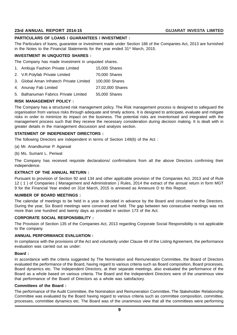## **PARTICULARS OF LOANS / GUARANTEES / INVESTMENT :**

The Particulars of loans, guarantee or investment made under Section 186 of the Companies Act, 2013 are furnished in the Notes to the Financial Statements for the year ended 31<sup>st</sup> March, 2015.

## **INVESTMENT IN UNQUOTED SHARES :**

The Company has made investment in unquoted shares.

- 1. Ambuja Fashion Private Limited 15,000 Shares
- 2. V.R.Polyfab Private Limited 70,000 Shares
- 3. Global Aman Infratech Private Limited 100,000 Shares
- 4. Anunay Fab Limited 27,02,000 Shares
- 5. Balhanuman Fabrics Private Limited 55,000 Shares

## **RISK MANAGEMENT POLICY :**

The Company has a structured risk management policy. The Risk management process is designed to safeguard the organisation from various risks through adequate and timely actions. It is designed to anticipate, evaluate and mitigate risks in order to minimize its impact on the business. The potential risks are inventorised and integrated with the management process such that they receive the necessary consideration during decision making. It is dealt with in greater details in the management discussion and analysis section.

## **STATEMENT OF INDEPENDENT DIRECTORS :**

The following Directors are independent in terms of Section 149(6) of the Act :

(a) Mr. Anandkumar P. Agarwal

(b) Ms. Sumant L. Periwal

The Company has received requisite declarations/ confirmations from all the above Directors confirming their independence.

## **EXTRACT OF THE ANNUAL RETURN :**

Pursuant to provision of Section 92 and 134 and other applicable provision of the Companies Act, 2013 and of Rule 12 ( 1 ) of Companies ( Management and Administration ) Rules, 2014 the extract of the annual return in form MGT 9 for the Financial Year ended on 31st March, 2015 is annexed as Annexure D to this Report.

## **NUMBER OF BOARD MEETINGS :**

The calendar of meetings to be held in a year is decided in advance by the Board and circulated to the Directors. During the year, Six Board meetings were convened and held. The gap between two consecutive meetings was not more than one hundred and twenty days as provided in section 173 of the Act.

### **CORPORATE SOCIAL RESPONSIBILITY :**

The Provision of Section 135 of the Companies Act, 2013 regarding Corporate Social Responsibility is not applicable to the company.

### **ANNUAL PERFORMANCE EVALUATION :**

In compliance with the provisions of the Act and voluntarily under Clause 49 of the Listing Agreement, the performance evaluation was carried out as under:

### **Board :**

In accordance with the criteria suggested by The Nomination and Remuneration Committee, the Board of Directors evaluated the performance of the Board, having regard to various criteria such as Board composition, Board processes, Board dynamics etc. The Independent Directors, at their separate meetings, also evaluated the performance of the Board as a whole based on various criteria. The Board and the Independent Directors were of the unanimous view that performance of the Board of Directors as a whole was satisfactory.

### **Committees of the Board :**

The performance of the Audit Committee, the Nomination and Remuneration Committee, The Stakeholder Relationship Committee was evaluated by the Board having regard to various criteria such as committee composition, committee, processes, committee dynamics etc. The Board was of the unanimous view that all the committees were performing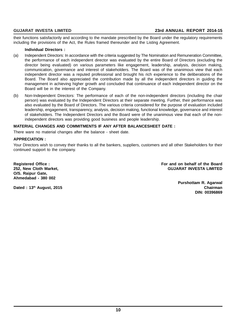their functions satisfactorily and according to the mandate prescribed by the Board under the regulatory requirements including the provisions of the Act, the Rules framed thereunder and the Listing Agreement.

## **Individual Directors :**

- (a) Independent Directors: In accordance with the criteria suggested by The Nomination and Remuneration Committee, the performance of each independent director was evaluated by the entire Board of Directors (excluding the director being evaluated) on various parameters like engagement, leadership, analysis, decision making, communication, governance and interest of stakeholders. The Board was of the unanimous view that each independent director was a reputed professional and brought his rich experience to the deliberations of the Board. The Board also appreciated the contribution made by all the independent directors in guiding the management in achieving higher growth and concluded that continuance of each independent director on the Board will be in the interest of the Company.
- (b) Non-Independent Directors: The performance of each of the non-independent directors (including the chair person) was evaluated by the Independent Directors at their separate meeting. Further, their performance was also evaluated by the Board of Directors. The various criteria considered for the purpose of evaluation included leadership, engagement, transparency, analysis, decision making, functional knowledge, governance and interest of stakeholders. The Independent Directors and the Board were of the unanimous view that each of the nonindependent directors was providing good business and people leadership.

## **MATERIAL CHANGES AND COMMITMENTS IF ANY AFTER BALANCESHEET DATE :**

There ware no material changes after the balance - sheet date.

## **APPRECIATION :**

Your Directors wish to convey their thanks to all the bankers, suppliers, customers and all other Stakeholders for their continued support to the company.

**O/S. Raipur Gate, Ahmedabad - 380 002**

**Registered Office : For and on behalf of the Board 252, New Cloth Market, GUJARAT INVESTA LIMITED**

**Dated : 13th August, 2015 Chairman**

**Purshottam R. Agarwal DIN: 00396869**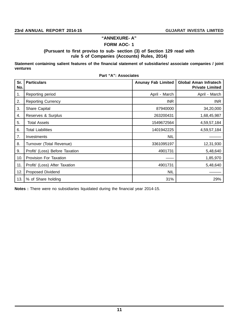## **"ANNEXURE- A"**

## **FORM AOC- 1**

**(Pursuant to first proviso to sub- section (3) of Section 129 read with rule 5 of Companies (Accounts) Rules, 2014)**

**Statement containing salient features of the financial statement of subsidiaries/ associate companies / joint ventures**

**Part "A": Associates**

| Sr.<br>No. | <b>Particulars</b>             | <b>Anunay Fab Limited</b> | <b>Global Aman Infratech</b><br><b>Private Limited</b> |
|------------|--------------------------------|---------------------------|--------------------------------------------------------|
| 1.         | Reporting period               | April - March             | April - March                                          |
| 2.         | <b>Reporting Currency</b>      | <b>INR</b>                | <b>INR</b>                                             |
| 3.         | Share Capital                  | 87940000                  | 34,20,000                                              |
| 4.         | Reserves & Surplus             | 263200431                 | 1,68,45,987                                            |
| 5.         | <b>Total Assets</b>            | 1549672564                | 4,59,57,184                                            |
| 6.         | <b>Total Liabilities</b>       | 1401942225                | 4,59,57,184                                            |
| 7.         | Investments                    | <b>NIL</b>                |                                                        |
| 8.         | Turnover (Total Revenue)       | 3361095197                | 12,31,930                                              |
| 9.         | Profit/ (Loss) Before Taxation | 4901731                   | 5,48,640                                               |
| 10.        | Provision For Taxation         |                           | 1,85,970                                               |
| 11.        | Profit/ (Loss) After Taxation  | 4901731                   | 5,48,640                                               |
| 12.        | Proposed Dividend              | <b>NIL</b>                |                                                        |
| 13.        | % of Share holding             | 31%                       | 29%                                                    |

**Notes :** There were no subsidiaries liquidated during the financial year 2014-15.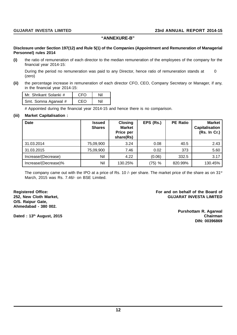## **"ANNEXURE-B"**

### **Disclosure under Section 197(12) and Rule 5(1) of the Companies (Appointment and Remuneration of Managerial Personnel) rules 2014**

**(i)** the ratio of remuneration of each director to the median remuneration of the employees of the company for the financial year 2014-15:

During the period no remuneration was paid to any Director, hence ratio of remuneration stands at 0 (zero)

**(ii)** the percentage increase in remuneration of each director CFO, CEO, Company Secretary or Manager, if any, in the financial year 2014-15:

| Mr. Shrikant Solanki # | CEO | Nil |
|------------------------|-----|-----|
| Smt. Somna Agarwal #   | CEO | Nil |

# Appointed during the financial year 2014-15 and hence there is no comparison.

## **(iii) Market Capitalisation :**

| <b>Date</b>          | <b>Issued</b><br><b>Shares</b> | <b>Closing</b><br><b>Market</b><br>Price per<br>share(Rs) | EPS (Rs.) | <b>PE Ratio</b> | <b>Market</b><br>Capitalisation<br>(Rs. In Cr.) |
|----------------------|--------------------------------|-----------------------------------------------------------|-----------|-----------------|-------------------------------------------------|
| 31.03.2014           | 75,09,900                      | 3.24                                                      | 0.08      | 40.5            | 2.43                                            |
| 31.03.2015           | 75,09,900                      | 7.46                                                      | 0.02      | 373             | 5.60                                            |
| Increase/(Decrease)  | Nil                            | 4.22                                                      | (0.06)    | 332.5           | 3.17                                            |
| Increase/(Decrease)% | Nil                            | 130.25%                                                   | (75) %    | 820.99%         | 130.45%                                         |

The company came out with the IPO at a price of Rs. 10 /- per share. The market price of the share as on  $31st$ March, 2015 was Rs. 7.46/- on BSE Limited.

**O/S. Raipur Gate, Ahmedabad - 380 002.**

**Registered Office: For and on behalf of the Board of 252, New Cloth Market, Community Community COUSTALIES** 

**Purshottam R. Agarwal Dated : 13th August, 2015 Chairman DIN: 00396869**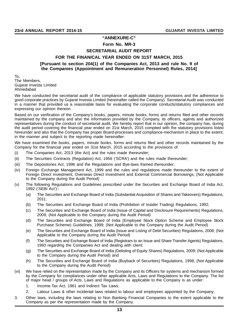## **"ANNEXURE-C"**

## **Form No. MR-3**

## **SECRETARIAL AUDIT REPORT**

## **FOR THE FINANICAL YEAR ENDED ON 31ST MARCH, 2015**

## **[Pursuant to section 204(1) of the Companies Act, 2013 and rule No. 9 of the Companies (Appointment and Remuneration Personnel) Rules, 2014]**

To, The Members, Gujarat Investa Limited Ahmedabad

We have conducted the secretarial audit of the compliance of applicable statutory provisions and the adherence to good corporate practices by Gujarat Investa Limited (hereinafter called the Company). Secretarial Audit was conducted in a manner that provided us a reasonable basis for evaluating the corporate conducts/statutory compliances and expressing our opinion thereon.

Based on our verification of the Company's books, papers, minute books, forms and returns filed and other records maintained by the company and also the information provided by the Company, its officers, agents and authorized representatives during the conduct of secretarial audit, We hereby report that in our opinion, the company has, during the audit period covering the financial year ended on 31st March, 2015 complied with the statutory provisions listed hereunder and also that the Company has proper Board-processes and compliance-mechanism in place to the extent, in the manner and subject to the reporting made hereinafter:

We have examined the books, papers, minute books, forms and returns filed and other records maintained by the Company for the financial year ended on 31st March, 2015 according to the provisions of:

- (i) The Companies Act, 2013 (the Act) and the rules made thereunder;
- (ii) The Securities Contracts (Regulation) Act, 1956 ('SCRA') and the rules made thereunder;
- (iii) The Depositories Act, 1996 and the Regulations and Bye-laws framed thereunder;
- (iv) Foreign Exchange Management Act, 1999 and the rules and regulations made thereunder to the extent of Foreign Direct Investment, Overseas Direct Investment and External Commercial Borrowings; (Not Applicable to the Company during the Audit Period)
- (v) The following Regulations and Guidelines prescribed under the Securities and Exchange Board of India Act, 1992 ('SEBI Act'):-
	- (a) The Securities and Exchange Board of India (Substantial Acquisition of Shares and Takeovers) Regulations, 2011;
	- (b) The Securities and Exchange Board of India (Prohibition of Insider Trading) Regulations, 1992;
	- (c) The Securities and Exchange Board of India (Issue of Capital and Disclosure Requirements) Regulations, 2009; (Not Applicable to the Company during the Audit Period)
	- (d) The Securities and Exchange Board of India (Employee Stock Option Scheme and Employee Stock Purchase Scheme) Guidelines, 1999; (Not Applicable to the Company during the Audit Period)
	- (e) The Securities and Exchange Board of India (Issue and Listing of Debt Securities) Regulations, 2008; (Not Applicable to the Company during the Audit Period)
	- (f) The Securities and Exchange Board of India (Registrars to an Issue and Share Transfer Agents) Regulations, 1993 regarding the Companies Act and dealing with client;
	- (g) The Securities and Exchange Board of India (Delisting of Equity Shares) Regulations, 2009; (Not Applicable to the Company during the Audit Period) and
	- (h) The Securities and Exchange Board of India (Buyback of Securities) Regulations, 1998; (Not Applicable to the Company during the Audit Period)
- (vi) We have relied on the representation made by the Company and its Officers for systems and mechanism formed by the Company for compliances under other applicable Acts, Laws and Regulations to the Company. The list of major head / groups of Acts, Laws and Regulations as applicable to the Company is as under:
	- 1. Income-Tax Act, 1961 and Indirect Tax Laws;
	- 2. Labour Laws & other incidental laws related to labour and employees appointed by the Company;
- 3. Other laws, including the laws relating to Non Banking Financial Companies to the extent applicable to the Company as per the representation made by the Company.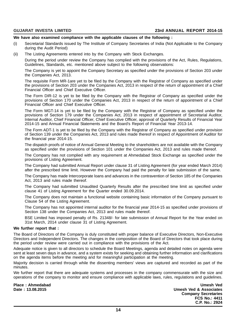### **We have also examined compliance with the applicable clauses of the following :**

- (i) Secretarial Standards issued by The Institute of Company Secretaries of India (Not Applicable to the Company during the Audit Period)
- (ii) The Listing Agreements entered into by the Company with Stock Exchanges.

During the period under review the Company has complied with the provisions of the Act, Rules, Regulations, Guidelines, Standards, etc. mentioned above subject to the following observations:

The Company is yet to appoint the Company Secretary as specified under the provisions of Section 203 under the Companies Act, 2013.

The requisite Form MR-1are yet to be filed by the Company with the Registrar of Company as specified under the provisions of Section 203 under the Companies Act, 2013 in respect of the return of appointment of a Chief Financial Officer and Chief Executive Officer.

The Form DIR-12 is yet to be filed by the Company with the Registrar of Company as specified under the provisions of Section 170 under the Companies Act, 2013 in respect of the return of appointment of a Chief Financial Officer and Chief Executive Officer.

The Form MGT-14 is yet to be filed by the Company with the Registrar of Company as specified under the provisions of Section 179 under the Companies Act, 2013 in respect of appointment of Secretarial Auditor, Internal Auditor, Chief Financial Officer, Chief Executive Officer, approval of Quarterly Results of Financial Year 2014-15 and Annual Financial Statements and the Board's Report of Financial Year 2013-14.

The Form ADT-1 is yet to be filed by the Company with the Registrar of Company as specified under provision of Section 139 under the Companies Act, 2013 and rules made thereof in respect of Appointment of Auditor for the financial year 2014-15.

The dispatch proofs of notice of Annual General Meeting to the shareholders are not available with the Company as specified under the provisions of Section 101 under the Companies Act, 2013 and rules made thereof.

The Company has not complied with any requirement at Ahmedabad Stock Exchange as specified under the provisions of Listing Agreement.

The Company had submitted Annual Report under clause 31 of Listing Agreement (for year ended March 2014) after the prescribed time limit. However the Company had paid the penalty for late submission of the same.

The Company has made Intercorporate loans and advances in the contravention of Section 185 of the Companies Act, 2013 and rules made thereof.

The Company had submitted Unaudited Quarterly Results after the prescribed time limit as specified under clause 41 of Listing Agreement for the Quarter ended 30.09.2014.

The Company does not maintain a functional website containing basic information of the Company pursuant to Clause 54 of the Listing Agreement.

The Company has not appointed internal auditor for the financial year 2014-15 as specified under provisions of Section 138 under the Companies Act, 2013 and rules made thereof.

BSE Limited has imposed penalty of Rs. 21348/- for late submission of Annual Report for the Year ended on 31st March, 2014 under clause 31 of Listing Agreement.

## **We further report that :**

The Board of Directors of the Company is duly constituted with proper balance of Executive Directors, Non-Executive Directors and Independent Directors. The changes in the composition of the Board of Directors that took place during the period under review were carried out in compliance with the provisions of the Act.

Adequate notice is given to all directors to schedule the Board Meetings, agenda and detailed notes on agenda were sent at least seven days in advance, and a system exists for seeking and obtaining further information and clarifications on the agenda items before the meeting and for meaningful participation at the meeting.

Majority decision is carried through while the dissenting members' views are captured and recorded as part of the minutes.

We further report that there are adequate systems and processes in the company commensurate with the size and operations of the company to monitor and ensure compliance with applicable laws, rules, regulations and guidelines.

**Place : Ahmedabad Umesh Ved Umesh Ved & Associates Company Secretaries FCS No.: 4411 C.P. No.: 2924**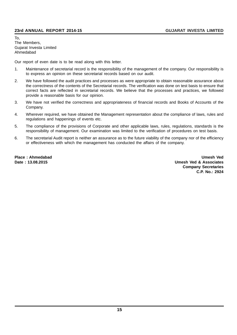To, The Members, Gujarat Investa Limited Ahmedabad

Our report of even date is to be read along with this letter.

- 1. Maintenance of secretarial record is the responsibility of the management of the company. Our responsibility is to express an opinion on these secretarial records based on our audit.
- 2. We have followed the audit practices and processes as were appropriate to obtain reasonable assurance about the correctness of the contents of the Secretarial records. The verification was done on test basis to ensure that correct facts are reflected in secretarial records. We believe that the processes and practices, we followed provide a reasonable basis for our opinion.
- 3. We have not verified the correctness and appropriateness of financial records and Books of Accounts of the Company.
- 4. Wherever required, we have obtained the Management representation about the compliance of laws, rules and regulations and happenings of events etc.
- 5. The compliance of the provisions of Corporate and other applicable laws, rules, regulations, standards is the responsibility of management. Our examination was limited to the verification of procedures on test basis.
- 6. The secretarial Audit report is neither an assurance as to the future viability of the company nor of the efficiency or effectiveness with which the management has conducted the affairs of the company.

**Place : Ahmedabad Umesh Ved Date : 13.08.2015 Umesh Ved & Associates Company Secretaries C.P. No.: 2924**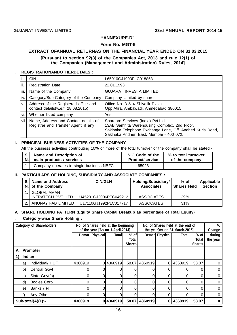## **"ANNEXURE-D"**

## **Form No. MGT-9**

## **EXTRACT OFANNUAL RETURNAS ON THE FINANCIAL YEAR ENDED ON 31.03.2015**

## **[Pursuant to section 92(3) of the Companies Act, 2013 and rule 12(1) of the Companies (Management and Administration) Rules, 2014]**

## **I. REGISTRATIONANDOTHERDETAILS :**

|      | <b>CIN</b>                                                                   | L65910GJ1993PLC018858                                                                                                                                                                       |
|------|------------------------------------------------------------------------------|---------------------------------------------------------------------------------------------------------------------------------------------------------------------------------------------|
| ii.  | <b>Registration Date</b>                                                     | 22.01.1993                                                                                                                                                                                  |
| iii. | Name of the Company                                                          | <b>GUJARAT INVESTA LIMITED</b>                                                                                                                                                              |
| iv.  | Category/Sub-Category of the Company                                         | Company Limited by shares                                                                                                                                                                   |
| V.   | Address of the Registered office and<br>contact details (w.e.f. 28.08.2015)  | Office No. 3 & 4 Shivalik Plaza<br>Opp.Atira, Ambawadi, Ahmedabad 380015                                                                                                                    |
| vi.  | Whether listed company                                                       | Yes                                                                                                                                                                                         |
| vii. | Name, Address and Contact details of<br>Registrar and Transfer Agent, if any | Sharepro Services (India) Pvt.Ltd<br>13AB Samhita Warehousing Complex, 2nd Floor,<br>Saklnaka Telephone Exchange Lane, Off. Andheri Kurla Road,<br>Saklnaka Andheri East, Mumbai - 400 072. |

## **II. PRINCIPAL BUSINESS ACTIVITIES OF THE COMPANY :**

All the business activities contributing 10% or more of the total turnover of the company shall be stated:-

| -S. I | <b>Name and Description of</b>           | NIC Code of the        | % to total turnover |
|-------|------------------------------------------|------------------------|---------------------|
| N. I  | main products / services                 | <b>Product/service</b> | of the company      |
|       | Company operates in single business-NBFC | 65923                  |                     |

## **III. PARTICULARS OF HOLDING, SUBSIDIARY AND ASSOCIATE COMPANIES :**

| S.   Name and Address<br>$N.$ of the Company | <b>CIN/GLN</b>        | Holding/Subsidiary/<br><b>Associates</b> | $%$ of<br><b>Shares Held</b> | Applicable<br><b>Section</b> |
|----------------------------------------------|-----------------------|------------------------------------------|------------------------------|------------------------------|
| I GLOBAL AMAN<br>INFRATECH PVT. LTD.         | U45201GJ2006PTC049212 | <b>ASSOCIATES</b>                        | 29%                          |                              |
| I ANUNAY FAB LIMITED                         | U17110GJ1992PLC017717 | <b>ASSOCATES</b>                         | 31%                          |                              |

## **IV. SHARE HOLDING PATTERN (Equity Share Capital Breakup as percentage of Total Equity)**

## **i. Category-wise Share Holding :**

| Category of Shareholders  |         |                                  | No. of Shares held at the beginning |               |                |                               | No. of Shares held at the end of |               | %<br>Change |
|---------------------------|---------|----------------------------------|-------------------------------------|---------------|----------------|-------------------------------|----------------------------------|---------------|-------------|
|                           |         | of the year [As on 1-April-2014] |                                     |               |                | the year[As on 31-March-2015] |                                  |               |             |
|                           |         | Demat Physical                   | <b>Total</b>                        | $%$ of        |                | Demat   Physical              | Total                            | % of          | during      |
|                           |         |                                  |                                     | Total         |                |                               |                                  | Total         | the year    |
|                           |         |                                  |                                     | <b>Shares</b> |                |                               |                                  | <b>Shares</b> |             |
| <b>Promoter</b><br>А.     |         |                                  |                                     |               |                |                               |                                  |               |             |
| Indian<br>1)              |         |                                  |                                     |               |                |                               |                                  |               |             |
| Individual/ HUF<br>a)     | 4360919 | 0l                               | 4360919                             | 58.07         | 4360919        |                               | 4360919                          | 58.07         | 0           |
| <b>Central Govt</b><br>b) | 0       | $\Omega$                         | 0                                   | 0             | $\overline{0}$ | 0                             | 0                                | 0             | 0           |
| State Govt(s)<br>C)       | 0       | $\Omega$                         | 0                                   | 0             | 0              | 0                             | 0                                | 0             | 0           |
| <b>Bodies Corp</b><br>d)  | 0       | $\overline{0}$                   | 0                                   | 0             | 0              | 0                             | 0                                | 0             | 0           |
| Banks / FI<br>e)          | 0       | $\Omega$                         | 0                                   | 0             | 0              | 0                             | 0                                | 0             | 0           |
| Any Other                 | 0       |                                  |                                     | 0             | 0              |                               | 0                                |               | 0           |
| Sub-total(A)(1):-         | 4360919 | 01                               | 4360919                             | 58.07         | 4360919        | 0                             | 4360919                          | 58.07         | $\bf{0}$    |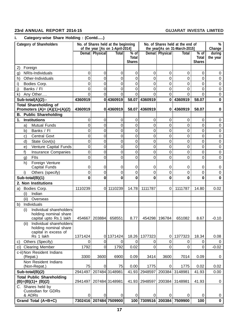## **i. Category-wise Share Holding : (Contd.....)**

| <b>Category of Shareholders</b>                                                   |         |                                  | No. of Shares held at the beginning<br>of the year [As on 1-April-2014] |                        |                |                  | No. of Shares held at the end of<br>the year[As on 31-March-2015] |                               | %<br>Change      |
|-----------------------------------------------------------------------------------|---------|----------------------------------|-------------------------------------------------------------------------|------------------------|----------------|------------------|-------------------------------------------------------------------|-------------------------------|------------------|
|                                                                                   |         | Demat   Physical                 | <b>Total</b>                                                            | $%$ of                 |                | Demat Physical   | Total                                                             | $%$ of                        | during           |
|                                                                                   |         |                                  |                                                                         | Total<br><b>Shares</b> |                |                  |                                                                   | <b>Total</b><br><b>Shares</b> | the year         |
|                                                                                   |         |                                  |                                                                         |                        |                |                  |                                                                   |                               |                  |
| 2)<br>Foreign<br>NRIs-Individuals                                                 | 0       | $\overline{0}$                   | 0                                                                       | 0                      | 0              | 0                | 0                                                                 | 0                             | 0                |
| g)<br>Other-Individuals<br>h)                                                     | 0       | $\overline{0}$                   | $\mathbf 0$                                                             | 0                      | 0              | 0                | 0                                                                 | $\mathbf 0$                   | $\pmb{0}$        |
| i)<br>Bodies Corp.                                                                | 0       | $\overline{0}$                   | $\mathbf 0$                                                             | $\mathbf 0$            | 0              | 0                | 0                                                                 | 0                             | $\boldsymbol{0}$ |
| j)<br>Banks / Fl                                                                  | 0       | $\overline{0}$                   | $\mathbf 0$                                                             | 0                      | 0              | 0                | 0                                                                 | $\mathbf 0$                   | $\pmb{0}$        |
| Any Other<br>k)                                                                   | 0       | $\overline{0}$                   | $\Omega$                                                                | 0                      | 0              | 0                | 0                                                                 | $\Omega$                      | $\boldsymbol{0}$ |
| Sub-total(A)(2):-                                                                 | 4360919 |                                  | 0 4360919                                                               | 58.07                  | 4360919        | 0                | 4360919                                                           | 58.07                         | $\mathbf 0$      |
| <b>Total Shareholding of</b>                                                      |         |                                  |                                                                         |                        |                |                  |                                                                   |                               |                  |
| Promoters $(A)=(A)(1)+(A)(2)$                                                     | 4360919 |                                  | 0 4360919                                                               | 58.07                  | 4360919        | 0                | 4360919                                                           | 58.07                         | 0                |
| <b>B. Public Shareholding</b>                                                     |         |                                  |                                                                         |                        |                |                  |                                                                   |                               |                  |
| <b>Institutions</b><br>1.                                                         | 0       | $\overline{0}$                   | $\mathbf 0$                                                             | 0                      | $\pmb{0}$      | 0                | 0                                                                 | $\mathbf 0$                   | 0                |
| <b>Mutual Funds</b><br>a)                                                         | 0       | $\overline{0}$                   | $\mathbf 0$                                                             | 0                      | 0              | 0                | $\mathbf 0$                                                       | $\overline{0}$                | $\mathbf 0$      |
| Banks / Fl<br>b)                                                                  | 0       | $\overline{0}$                   | $\mathbf 0$                                                             | 0                      | 0              | 0                | 0                                                                 | $\overline{0}$                | $\boldsymbol{0}$ |
| <b>Central Govt</b><br>C)                                                         | 0       | $\overline{0}$                   | $\mathbf 0$                                                             | 0                      | 0              | 0                | 0                                                                 | $\Omega$                      | $\boldsymbol{0}$ |
| State Govt(s)<br>d)                                                               | 0       | $\overline{0}$                   | $\mathbf 0$                                                             | $\mathbf 0$            | 0              | 0                | 0                                                                 | $\mathbf 0$                   | $\boldsymbol{0}$ |
| Venture Capital Funds<br>e)                                                       | 0       | $\overline{0}$                   | $\overline{0}$                                                          | 0                      | 0              | 0                | $\mathbf 0$                                                       | $\mathbf 0$                   | $\mathbf 0$      |
| f)<br>Insurance Companies<br>Flls                                                 | 0       | $\overline{0}$<br>$\overline{0}$ | $\mathbf 0$                                                             | 0                      | 0              | 0                | 0                                                                 | $\mathbf 0$                   | $\boldsymbol{0}$ |
| g)<br>h)                                                                          | 0       |                                  | $\overline{0}$                                                          | 0                      | 0              | 0                | 0                                                                 | $\overline{0}$                | 0                |
| Foreign Venture<br>Capital Funds                                                  | 0       | $\overline{0}$                   | 0                                                                       | 0                      | 0              | 0                | 0                                                                 | 0                             | 0                |
| i)<br>Others (specify)                                                            | 0       | $\overline{0}$                   | 0                                                                       | 0                      | $\pmb{0}$      | 0                | 0                                                                 | $\mathbf 0$                   | $\mathbf 0$      |
| Sub-total(B)(1)                                                                   | 0       | $\mathbf{0}$                     | $\bf{0}$                                                                | $\bf{0}$               | 0              | 0                | 0                                                                 | $\bf{0}$                      | 0                |
| 2. Non Institutions                                                               |         |                                  |                                                                         |                        |                |                  |                                                                   |                               |                  |
| Bodies Corp.<br>a)                                                                | 1110239 | 0l                               | 1110239                                                                 | 14.78                  | 1111787        | $\mathbf 0$      | 1111787                                                           | 14.80                         | 0.02             |
| Indian<br>(i)                                                                     |         |                                  |                                                                         |                        |                |                  |                                                                   |                               |                  |
| (ii)<br>Overseas                                                                  |         |                                  |                                                                         |                        |                |                  |                                                                   |                               |                  |
| Individuals<br>b)                                                                 |         |                                  |                                                                         |                        |                |                  |                                                                   |                               |                  |
| Individual shareholders<br>(i)<br>holding nominal share<br>capital upto Rs.1 lakh |         |                                  | 454667 203884 658551                                                    | 8.77                   |                | 454298 196784    | 651082                                                            | 8.67                          | $-0.10$          |
| Individual shareholders<br>(ii)                                                   |         |                                  |                                                                         |                        |                |                  |                                                                   |                               |                  |
| holding nominal share                                                             |         |                                  |                                                                         |                        |                |                  |                                                                   |                               |                  |
| capital in excess of<br>Rs 1 lakh                                                 | 1371424 |                                  | 0 1371424                                                               |                        | 1377323        |                  | 1377323                                                           | 18.34                         | 0.08             |
| Others (Specify)                                                                  | 0       | $\overline{0}$                   | $\overline{0}$                                                          | 18.26<br>$\Omega$      | $\mathbf 0$    | 0<br>$\mathbf 0$ | $\Omega$                                                          | $\mathbf 0$                   | 0                |
| C)<br>ci) Clearing Member                                                         | 1792    | $\overline{0}$                   | 1792                                                                    | 0.02                   | $\pmb{0}$      | 0                | 0                                                                 | $\overline{0}$                | $-0.02$          |
| c-ii) Non Resident Indians                                                        |         |                                  |                                                                         |                        |                |                  |                                                                   |                               |                  |
| (Repat.)                                                                          | 3300    | 3600                             | 6900                                                                    | 0.09                   | 3414           | 3600             | 7014                                                              | 0.09                          | 0                |
| Non Resident Indians<br>(Non-Repat.)                                              | 75      | 0l                               | 75                                                                      | 0.00                   | 1775           | 0                | 1775                                                              | 0.02                          | 0.02             |
| Sub-total(B)(2)                                                                   | 2941497 |                                  | 207484 3148981                                                          | 41.93                  | 2948597        | 200384           | 3148981                                                           | 41.93                         | 0.00             |
| <b>Total Public Shareholding</b>                                                  |         |                                  |                                                                         |                        |                |                  |                                                                   |                               |                  |
| $(B)=(B)(1)+(B)(2)$                                                               | 2941497 |                                  | 207484 3148981                                                          | 41.93                  | 2948597        | 200384           | 3148981                                                           | 41.93                         | 0                |
| C. Shares held by<br><b>Custodian for GDRs</b>                                    |         |                                  |                                                                         |                        |                |                  |                                                                   |                               |                  |
| & ADRs                                                                            | 0       | $\overline{0}$                   | 0                                                                       | 0                      | 0              | $\Omega$         | 0                                                                 | 0                             | 0                |
| Grand Total (A+B+C)                                                               | 7302416 |                                  | 207484 7509900                                                          | 100 <sub>1</sub>       | 7309516 200384 |                  | 7509900                                                           | 100                           | $\mathbf 0$      |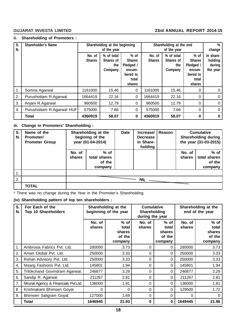## **ii. Shareholding of Promoters :**

| S. | Shareholder's Name        |               | Shareholding at the beginning |               |               | Shareholding at the end |               | %         |
|----|---------------------------|---------------|-------------------------------|---------------|---------------|-------------------------|---------------|-----------|
| N. |                           |               | of the year                   |               |               | of the year             |               | change    |
|    |                           | No. of        | % of total                    | $%$ of        | No. of        | % of total              | % of          | in share- |
|    |                           | <b>Shares</b> | Shares of                     | <b>Shares</b> | <b>Shares</b> | Shares of               | <b>Shares</b> | holding   |
|    |                           |               | the                           | Pledged /     |               | the                     | Pledged /     | during    |
|    |                           |               | Company                       | encum-        |               | Company                 | encum-        | the year  |
|    |                           |               |                               | bered to      |               |                         | bered to      |           |
|    |                           |               |                               | total         |               |                         | total         |           |
|    |                           |               |                               | shares        |               |                         | shares        |           |
| 1. | Somna Agarwal             | 1161000       | 15.46                         | 0             | 1161000       | 15.46                   | 0             | 0         |
| 2. | Purushottam R.Agarwal     | 1664419       | 22.16                         | $\Omega$      | 1664419       | 22.16                   | 0             | 0         |
| 3. | Anjani R.Agarwal          | 960500        | 12.79                         | 0             | 960500        | 12.79                   | 0             | 0         |
| 4. | Purushottam R.Agarwal HUF | 575000        | 7.66                          | 0             | 575000        | 7.66                    | 0             | 0         |
|    | Total                     | 4360919       | 58.07                         | 0             | 4360919       | 58.07                   | 0             | $\bf{0}$  |

## **iii. Change in Promoters' Shareholding :**

| S.<br>N. | Name of the<br>Promoter/<br><b>Prometer Group</b> | Shareholding at the<br>begining of the<br>year (01-04-2014) |                                             | Date | Increase/<br><b>Decrease</b><br>in Share-<br>holding | Reason |                  | <b>Cumulative</b><br><b>Shareholding during</b><br>the year (31-03-2015) |
|----------|---------------------------------------------------|-------------------------------------------------------------|---------------------------------------------|------|------------------------------------------------------|--------|------------------|--------------------------------------------------------------------------|
|          |                                                   | No. of<br>shares                                            | $%$ of<br>total shares<br>of the<br>company |      |                                                      |        | No. of<br>shares | $%$ of<br>total shares<br>of the<br>company                              |
|          |                                                   |                                                             |                                             |      |                                                      |        |                  |                                                                          |
| 2.       |                                                   | ___________________________<br><b>NIL</b>                   |                                             |      |                                                      |        |                  |                                                                          |
|          | <b>TOTAL</b>                                      | ,,,,, <u>,,,,,,,,,,,,,,,,,,,</u> ,                          |                                             |      |                                                      |        |                  |                                                                          |

\* There was no change during the Year in the Promoter's Shareholding.

## **(iv) Shareholding pattern of top ten shareholders :**

| S.<br>N. | For Each of the<br><b>Top 10 Shareholders</b> | Shareholding at the<br>beginning of the year |                                                | <b>Cumulative</b><br>Shareholding<br>during the year |                                                | Shareholding at the<br>end of the year |                                                |
|----------|-----------------------------------------------|----------------------------------------------|------------------------------------------------|------------------------------------------------------|------------------------------------------------|----------------------------------------|------------------------------------------------|
|          |                                               | No. of<br>shares                             | $%$ of<br>total<br>shares<br>of the<br>company | No. of<br>shares                                     | $%$ of<br>total<br>shares<br>of the<br>company | No. of<br>shares                       | $%$ of<br>total<br>shares<br>of the<br>company |
| 1.       | Ambrosia Fabrics Pvt. Ltd.                    | 280000                                       | 3.73                                           | $\Omega$                                             | $\Omega$                                       | 280000                                 | 3.73                                           |
| 2.       | Aman Global Pvt. Ltd.                         | 250000                                       | 3.33                                           | $\Omega$                                             | 0                                              | 250000                                 | 3.33                                           |
| 3.       | Rohan Advisory Pvt. Ltd.                      | 250000                                       | 3.33                                           | $\Omega$                                             | 0                                              | 250000                                 | 3.33                                           |
| 4.       | Nisarg Fashions Pvt. Ltd.                     | 145801                                       | 1.94                                           | $\Omega$                                             | 0                                              | 145801                                 | 1.94                                           |
| 5.       | Trilokchand Govindram Agarwal.                | 246877                                       | 3.29                                           | $\Omega$                                             | $\Omega$                                       | 246877                                 | 3.29                                           |
| 6.       | Sandip R. Agarwal                             | 211267                                       | 2.81                                           | $\Omega$                                             | $\Omega$                                       | 211267                                 | 2.81                                           |
| 7.       | Mrunal Agency & Financials Pvt.Ltd.           | 136000                                       | 1.81                                           | $\Omega$                                             | $\Omega$                                       | 136000                                 | 1.81                                           |
| 8        | Krishnakant Bhimsen Goyal                     | 0                                            | 0                                              | $\Omega$                                             | $\Omega$                                       | 129500                                 | 1.72                                           |
| 9.       | Bhimsen Saligram Goyal                        | 127000                                       | 1.69                                           | $\Omega$                                             | 0                                              | $\Omega$                               | 0                                              |
|          | <b>Total</b>                                  | 1646945                                      | 21.93                                          | 0                                                    | $\bf{0}$                                       | 1649445                                | 21.96                                          |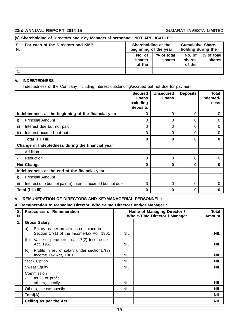|            | (v) Shareholding of Directors and Key Managerial personnel: NOT APPLICABLE : |                                              |                      |                            |                                                |  |  |  |  |  |
|------------|------------------------------------------------------------------------------|----------------------------------------------|----------------------|----------------------------|------------------------------------------------|--|--|--|--|--|
| Is.<br>IN. | For each of the Directors and KMP                                            | Shareholding at the<br>beginning of the year |                      |                            | <b>Cumulative Share-</b><br>holding during the |  |  |  |  |  |
|            |                                                                              | No. of<br>shares<br>of the                   | % of total<br>shares | No. of<br>shares<br>of the | % of total<br>shares                           |  |  |  |  |  |
|            |                                                                              |                                              |                      |                            |                                                |  |  |  |  |  |

## **V. INDEBTEDNESS :**

Indebtedness of the Company including interest outstanding/accrued but not due for payment.

|                                                                    | <b>Secured</b><br>Loans<br>excluding<br>deposits | <b>Unsecured</b><br>Loans | <b>Deposits</b> | <b>Total</b><br>Indebted-<br>ness |
|--------------------------------------------------------------------|--------------------------------------------------|---------------------------|-----------------|-----------------------------------|
| Indebtedness at the beginning of the financial year                | $\Omega$                                         | 0                         | 0               | 0                                 |
| <b>Principal Amount</b><br>I)                                      | 0                                                | 0                         | 0               | 0                                 |
| ii)<br>Interest due but not paid                                   | $\Omega$                                         | 0                         | 0               | 0                                 |
| iii)<br>Interest accrued but not                                   | $\Omega$                                         | 0                         | 0               | 0                                 |
| Total (i+ii+iii)                                                   | 0                                                | 0                         | 0               | 0                                 |
| Change in Indebtedness during the financial year                   |                                                  |                           |                 |                                   |
| Addition                                                           |                                                  |                           |                 |                                   |
| Reduction                                                          | $\Omega$                                         | 0                         | 0               | 0                                 |
| <b>Net Change</b>                                                  | $\bf{0}$                                         | 0                         | 0               | 0                                 |
| Indebtedness at the end of the financial year                      |                                                  |                           |                 |                                   |
| <b>Principal Amount</b><br>i)                                      |                                                  |                           |                 |                                   |
| ii)<br>Interest due but not paid iii) Interest accrued but not due | $\Omega$                                         | 0                         | 0               | 0                                 |
| Total (i+ii+iii)                                                   | 0                                                | 0                         | 0               |                                   |

## **VI. REMUNERATION OF DIRECTORS AND KEYMANAGERIAL PERSONNEL :**

**A. Remuneration to Managing Director, Whole-time Directors and/or Manager :**

| S.<br>N.    | <b>Particulars of Remuneration</b>                                                       |            | Name of Managing Director /<br>Whole-Time Director / Manager |  |  | Total<br><b>Amount</b> |
|-------------|------------------------------------------------------------------------------------------|------------|--------------------------------------------------------------|--|--|------------------------|
| $\mathbf 1$ | <b>Gross Salary</b>                                                                      |            |                                                              |  |  |                        |
|             | Salary as per provisions contained in<br>a)<br>Section 17(1) of the Income-tax Act, 1961 | <b>NIL</b> |                                                              |  |  | <b>NIL</b>             |
|             | Value of perquisites u/s 17(2) Income-tax<br>(b)<br>Act, 1961                            | <b>NIL</b> |                                                              |  |  | <b>NIL</b>             |
|             | Profits in lieu of salary under section17(3)<br>(c)<br>Income Tax Act, 1961              | <b>NIL</b> |                                                              |  |  | <b>NIL</b>             |
|             | <b>Stock Option</b>                                                                      | <b>NIL</b> |                                                              |  |  | <b>NIL</b>             |
|             | <b>Sweat Equity</b>                                                                      | <b>NIL</b> |                                                              |  |  | <b>NIL</b>             |
|             | Commission<br>as % of profit<br>others, specify                                          | <b>NIL</b> |                                                              |  |  | <b>NIL</b>             |
|             | Others, please specify                                                                   | <b>NIL</b> |                                                              |  |  | <b>NIL</b>             |
|             | Total(A)                                                                                 |            |                                                              |  |  | <b>NIL</b>             |
|             | Ceiling as per the Act                                                                   |            |                                                              |  |  | <b>NIL</b>             |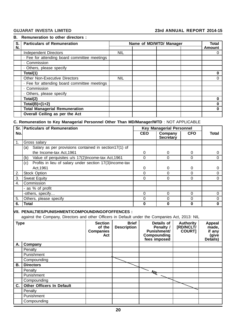## **B. Remuneration to other directors :**

| S. | <b>Particulars of Remuneration</b>           |            | Name of MD/WTD/ Manager |  | <b>Total</b> |
|----|----------------------------------------------|------------|-------------------------|--|--------------|
| N. |                                              |            |                         |  | Amount       |
|    | <b>Independent Directors</b>                 | <b>NIL</b> |                         |  | $\theta$     |
|    | · Fee for attending board committee meetings |            |                         |  |              |
|    | · Commission                                 |            |                         |  |              |
|    | · Others, please specify                     |            |                         |  |              |
|    | Total(1)                                     |            |                         |  |              |
|    | <b>Other Non-Executive Directors</b>         | NIL        |                         |  |              |
|    | · Fee for attending board committee meetings |            |                         |  |              |
|    | Commission                                   |            |                         |  |              |
|    | Others, please specify                       |            |                         |  |              |
|    | Total(2)                                     |            |                         |  |              |
|    | $Total(B)=(1+2)$                             |            |                         |  |              |
|    | <b>Total Managerial Remuneration</b>         |            |                         |  |              |
|    | Overall Ceiling as per the Act               |            |                         |  |              |

## **C. Remuneration to Key Managerial Personnel Other Than MD/Manager/WTD** : NOT APPLICABLE

|                  | Sr. Particulars of Remuneration                                 |            | <b>Key Managerial Personnel</b> |            |       |
|------------------|-----------------------------------------------------------------|------------|---------------------------------|------------|-------|
| No.              |                                                                 | <b>CEO</b> | Company<br><b>Secretary</b>     | <b>CFO</b> | Total |
| 1.               | Gross salary                                                    |            |                                 |            |       |
|                  | Salary as per provisions contained in section17(1) of<br>(a)    |            |                                 |            |       |
|                  | the Income-tax Act, 1961                                        | 0          | $\Omega$                        | 0          |       |
|                  | (b)<br>Value of perquisites u/s 17(2)Income-tax Act, 1961       | 0          | 0                               | 0          |       |
|                  | Profits in lieu of salary under section 17(3) Income-tax<br>(c) |            |                                 |            |       |
|                  | Act, 1961                                                       | 0          | 0                               | $\Omega$   |       |
| 2.               | Stock Option                                                    | 0          |                                 | 0          |       |
| 3.               | <b>Sweat Equity</b>                                             | 0          | $\Omega$                        | $\Omega$   | 0     |
| $\overline{4}$ . | Commission                                                      |            |                                 |            |       |
|                  | - as % of profit                                                |            |                                 |            |       |
|                  | -others, specify                                                | 0          | $\Omega$                        | $\Omega$   | O     |
| 5.               | Others, please specify                                          | O          | O                               | 0          |       |
| 6.               | <b>Total</b>                                                    |            |                                 | $\bf{0}$   |       |

# **VII. PENALTIES/PUNISHMENT/COMPOUNDINGOFOFFENCES :**

against the Company, Directors and other Officers in Default under the Companies Act, 2013: NIL

| <b>Type</b> |                                  | <b>Section</b><br>of the<br><b>Companies</b><br>Act | <b>Brief</b><br><b>Description</b> | Details of<br>Penalty /<br>Punishment/<br>Compounding<br>fees imposed                                                                                                                                                                                                                                                                                                                                                                                                                                           | <b>Authority</b><br>[RD/NCLT/<br>COURT] | <b>Appeal</b><br>made,<br>if any<br>(give<br>Details) |
|-------------|----------------------------------|-----------------------------------------------------|------------------------------------|-----------------------------------------------------------------------------------------------------------------------------------------------------------------------------------------------------------------------------------------------------------------------------------------------------------------------------------------------------------------------------------------------------------------------------------------------------------------------------------------------------------------|-----------------------------------------|-------------------------------------------------------|
| А.          | Company                          |                                                     |                                    |                                                                                                                                                                                                                                                                                                                                                                                                                                                                                                                 |                                         |                                                       |
|             | Penalty                          |                                                     |                                    |                                                                                                                                                                                                                                                                                                                                                                                                                                                                                                                 |                                         |                                                       |
|             | Punishment                       |                                                     |                                    |                                                                                                                                                                                                                                                                                                                                                                                                                                                                                                                 |                                         |                                                       |
|             | Compounding                      |                                                     |                                    |                                                                                                                                                                                                                                                                                                                                                                                                                                                                                                                 |                                         |                                                       |
| В.          | <b>Directors</b>                 |                                                     |                                    |                                                                                                                                                                                                                                                                                                                                                                                                                                                                                                                 |                                         |                                                       |
|             | Penalty                          |                                                     |                                    | $\begin{array}{c} \mathcal{L}_{\mathcal{M}_{\mathcal{M}_{\mathcal{M}_{\mathcal{M}_{\mathcal{M}_{\mathcal{M}}}}}}}(\mathcal{M}_{\mathcal{M}_{\mathcal{M}_{\mathcal{M}_{\mathcal{M}}}}}(\mathcal{M}_{\mathcal{M}_{\mathcal{M}_{\mathcal{M}_{\mathcal{M}}}}})\otimes \mathcal{M}_{\mathcal{M}_{\mathcal{M}_{\mathcal{M}_{\mathcal{M}}}}}(\mathcal{M}_{\mathcal{M}_{\mathcal{M}_{\mathcal{M}_{\mathcal{M}}}}}(\mathcal{M}_{\mathcal{M}_{\mathcal{M}_{\mathcal{M}_{\mathcal{M}}}}})\otimes \mathcal{M}_{$<br>$A_{H}$ |                                         |                                                       |
|             | Punishment                       |                                                     |                                    |                                                                                                                                                                                                                                                                                                                                                                                                                                                                                                                 |                                         |                                                       |
|             | Compounding                      |                                                     |                                    |                                                                                                                                                                                                                                                                                                                                                                                                                                                                                                                 |                                         |                                                       |
| C.          | <b>Other Officers In Default</b> |                                                     |                                    |                                                                                                                                                                                                                                                                                                                                                                                                                                                                                                                 |                                         |                                                       |
|             | Penalty                          |                                                     |                                    |                                                                                                                                                                                                                                                                                                                                                                                                                                                                                                                 |                                         |                                                       |
|             | Punishment                       |                                                     |                                    |                                                                                                                                                                                                                                                                                                                                                                                                                                                                                                                 |                                         |                                                       |
|             | Compounding                      |                                                     |                                    |                                                                                                                                                                                                                                                                                                                                                                                                                                                                                                                 |                                         |                                                       |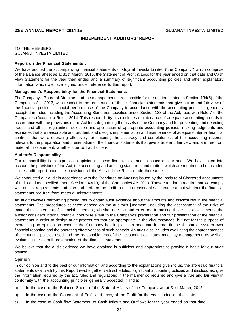## **INDEPENDENT AUDITORS' REPORT**

TO THE MEMBERS, GUJARAT INVESTA LIMITED

## **Report on the Financial Statements :**

We have audited the accompanying financial statements of Gujarat Investa Limited ("the Company") which comprise of the Balance Sheet as at 31st March, 2015, the Statement of Profit & Loss for the year ended on that date and Cash Flow Statement for the year then ended and a summary of significant accounting policies and other explanatory information which we have signed under reference to this report.

## **Management's Responsibility for the Financial Statements :**

The Company's Board of Directors and the management is responsible for the matters stated in Section 134(5) of the Companies Act, 2013, with respect to the preparation of these financial statements that give a true and fair view of the financial position, financial performance of the Company in accordance with the accounting principles generally accepted in India, including the Accounting Standards specified under Section 133 of the Act, read with Rule 7 of the Companies (Accounts) Rules, 2014. This responsibility also includes maintenance of adequate accounting records in accordance with the provisions of the Act for safeguarding the assets of the Company and for preventing and detecting frauds and other irregularities; selection and application of appropriate accounting policies; making judgments and estimates that are reasonable and prudent; and design, implementation and maintenance of adequate internal financial controls, that were operating effectively for ensuring the accuracy and completeness of the accounting records, relevant to the preparation and presentation of the financial statements that give a true and fair view and are free from material misstatement, whether due to fraud or error.

## **Auditor's Responsibility :**

Our responsibility is to express an opinion on these financial statements based on our audit. We have taken into account the provisions of the Act, the accounting and auditing standards and matters which are required to be included in the audit report under the provisions of the Act and the Rules made thereunder.

We conducted our audit in accordance with the Standards on Auditing issued by the Institute of Chartered Accountants of India and as specified under Section 143(10) of the Companies Act 2013. Those Standards require that we comply with ethical requirements and plan and perform the audit to obtain reasonable assurance about whether the financial statements are free from material misstatements.

An audit involves performing procedures to obtain audit evidence about the amounts and disclosures in the financial statements. The procedures selected depend on the auditor's judgment, including the assessment of the risks of material misstatement of financial statement, whether due to fraud or errors. In making those risk assessments, the auditor considers internal financial control relevant to the Company's preparation and fair presentation of the financial statements in order to design audit procedures that are appropriate in the circumstances, but not for the purpose of expressing an opinion on whether the Company has in place an adequate internal financial controls system over financial reporting and the operating effectiveness of such controls. An audit also includes evaluating the appropriateness of accounting policies used and the reasonableness of the accounting estimates made by management, as well as evaluating the overall presentation of the financial statements.

We believe that the audit evidence we have obtained is sufficient and appropriate to provide a basis for our audit opinion.

## **Opinion :**

In our opinion and to the best of our information and according to the explanations given to us, the aforesaid financial statements dealt with by this Report read together with schedules, significant accounting policies and disclosures, give the information required by the act, rules and regulations in the manner so required and give a true and fair view in conformity with the accounting principles generally accepted in India;

- a) In the case of the Balance Sheet, of the State of Affairs of the Company as at 31st March, 2015;
- b) In the case of the Statement of Profit and Loss, of the Profit for the year ended on that date.
- c) In the case of Cash flow Statement, of Cash Inflows and Outflows for the year ended on that date.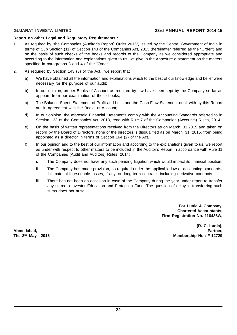## **Report on other Legal and Regulatory Requirements :**

- 1. As required by "the Companies (Auditor's Report) Order 2015", issued by the Central Government of India in terms of Sub Section (11) of Section 143 of the Companies Act, 2013 (hereinafter referred as the "Order") and on the basis of such checks of the books and records of the Company as we considered appropriate and according to the information and explanations given to us, we give in the Annexure a statement on the matters specified in paragraphs 3 and 4 of the "Order".
- 2. As required by Section 143 (3) of the Act, we report that
	- a) We have obtained all the information and explanations which to the best of our knowledge and belief were necessary for the purpose of our audit;
	- b) In our opinion, proper Books of Account as required by law have been kept by the Company so far as appears from our examination of those books;
	- c) The Balance-Sheet, Statement of Profit and Loss and the Cash Flow Statement dealt with by this Report are in agreement with the Books of Account;
	- d) In our opinion, the aforesaid Financial Statements comply with the Accounting Standards referred to in Section 133 of the Companies Act, 2013, read with Rule 7 of the Companies (Accounts) Rules, 2014;
	- e) On the basis of written representations received from the Directors as on March, 31,2015 and taken on record by the Board of Directors, none of the directors is disqualified as on March, 31, 2015, from being appointed as a director in terms of Section 164 (2) of the Act.
	- f) In our opinion and to the best of our information and according to the explanations given to us, we report as under with respect to other matters to be included in the Auditor's Report in accordance with Rule 11 of the Companies (Audit and Auditors) Rules, 2014:
		- i. The Company does not have any such pending litigation which would impact its financial position.
		- ii. The Company has made provision, as required under the applicable law or accounting standards, for material foreseeable losses, if any, on long-term contracts including derivative contracts.
		- iii. There has not been an occasion in case of the Company during the year under report to transfer any sums to Investor Education and Protection Fund. The question of delay in transferring such sums does not arise.

**For Lunia & Company, Chartered Accountants, Firm Registration No. 116436W,**

**(R. C. Lunia), Ahmedabad, Partner, The 2nd May, 2015 Membership No.: F-12729**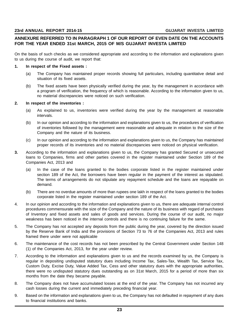## **ANNEXURE REFERRED TO IN PARAGRAPH 1 OF OUR REPORT OF EVEN DATE ON THE ACCOUNTS FOR THE YEAR ENDED 31st MARCH, 2015 OF M/S GUJARAT INVESTA LIMITED**

On the basis of such checks as we considered appropriate and according to the information and explanations given to us during the course of audit, we report that:

## **1. In respect of the Fixed assets :**

- (a) The Company has maintained proper records showing full particulars, including quantitative detail and situation of its fixed assets.
- (b) The fixed assets have been physically verified during the year, by the management in accordance with a program of verification, the frequency of which is reasonable. According to the information given to us, no material discrepancies were noticed on such verification.

## **2. In respect of the inventories :**

- (a) As explained to us, inventories were verified during the year by the management at reasonable intervals.
- (b) In our opinion and according to the information and explanations given to us, the procedures of verification of inventories followed by the management were reasonable and adequate in relation to the size of the Company and the nature of its business.
- (c) In our opinion and according to the information and explanations given to us, the Company has maintained proper records of its inventories and no material discrepancies were noticed on physical verification.
- **3.** According to the information and explanations given to us, the Company has granted Secured or unsecured loans to Companies, firms and other parties covered in the register maintained under Section 189 of the Companies Act, 2013 and
	- (a) In the case of the loans granted to the bodies corporate listed in the register maintained under section 189 of the Act, the borrowers have been regular in the payment of the interest as stipulated. The terms of arrangements do not stipulate any repayment schedule and the loans are repayable on demand.
	- (b) There are no overdue amounts of more than rupees one lakh in respect of the loans granted to the bodies corporate listed in the register maintained under section 189 of the Act.
- 4. In our opinion and according to the information and explanations given to us, there are adequate internal control procedures commensurate with the size of the Company and the nature of its business with regard of purchases of Inventory and fixed assets and sales of goods and services. During the course of our audit, no major weakness has been noticed in the internal controls and there is no continuing failure for the same.
- 5. The Company has not accepted any deposits from the public during the year, covered by the direction issued by the Reserve Bank of India and the provisions of Section 73 to 76 of the Companies Act, 2013 and rules framed there under were not applicable
- 6. The maintenance of the cost records has not been prescribed by the Central Government under Section 148 (1) of the Companies Act, 2013, for the year under review.
- 7. According to the information and explanations given to us and the records examined by us, the Company is regular in depositing undisputed statutory dues including Income Tax, Sales-Tax, Wealth Tax, Service Tax, Custom Duty, Excise Duty, Value Added Tax, Cess and other statutory dues with the appropriate authorities, there were no undisputed statutory dues outstanding as on 31st March, 2015 for a period of more than six months from the date they became payable.
- 8. The Company does not have accumulated losses at the end of the year. The Company has not incurred any cash losses during the current and immediately preceding financial year.
- 9. Based on the information and explanations given to us, the Company has not defaulted in repayment of any dues to financial institutions and banks.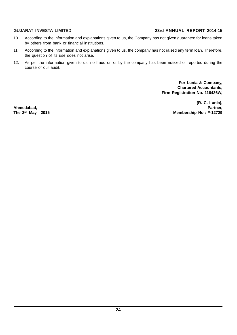- 10. According to the information and explanations given to us, the Company has not given guarantee for loans taken by others from bank or financial institutions.
- 11. According to the information and explanations given to us, the company has not raised any term loan. Therefore, the question of its use does not arise.
- 12. As per the information given to us, no fraud on or by the company has been noticed or reported during the course of our audit.

**For Lunia & Company, Chartered Accountants, Firm Registration No. 116436W,**

**(R. C. Lunia), Ahmedabad, Partner,** The 2<sup>nd</sup> May, 2015 **Membership No.: F-12729**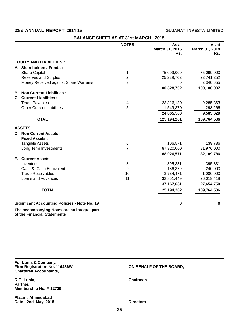|                                                                            | <b>NOTES</b>   | As at                    | As at                    |
|----------------------------------------------------------------------------|----------------|--------------------------|--------------------------|
|                                                                            |                | March 31, 2015<br>Rs.    | March 31, 2014<br>Rs.    |
| <b>EQUITY AND LIABILITIES:</b>                                             |                |                          |                          |
| A. Shareholders' Funds:                                                    |                |                          |                          |
| <b>Share Capital</b>                                                       |                |                          |                          |
| <b>Reserves and Surplus</b>                                                | 1<br>2         | 75,099,000<br>25,229,702 | 75,099,000<br>22,741,252 |
| Money Received against Share Warrants                                      | 3              |                          | 2,340,655                |
|                                                                            |                |                          |                          |
| <b>B. Non Current Liabilities:</b>                                         |                | 100,328,702              | 100,180,907              |
| <b>C. Current Liabilities:</b>                                             |                |                          |                          |
| <b>Trade Payables</b>                                                      |                | 23,316,130               | 9,285,363                |
| <b>Other Current Liabilities</b>                                           | 4<br>5         | 1,549,370                | 298,266                  |
|                                                                            |                |                          |                          |
|                                                                            |                | 24,865,500               | 9,583,629                |
| <b>TOTAL</b>                                                               |                | 125,194,201              | 109,764,536              |
| <b>ASSETS:</b>                                                             |                |                          |                          |
| D. Non Current Assets:                                                     |                |                          |                          |
| <b>Fixed Assets:</b>                                                       |                |                          |                          |
| <b>Tangible Assets</b>                                                     | 6              | 106,571                  | 139,786                  |
| Long Term Investments                                                      | $\overline{7}$ | 87,920,000               | 81,970,000               |
|                                                                            |                | 88,026,571               | 82,109,786               |
| E. Current Assets:                                                         |                |                          |                          |
| Inventories                                                                | 8              | 395,331                  | 395,331                  |
| Cash & Cash Equivalent                                                     | 9              | 186,379                  | 240,000                  |
| <b>Trade Receivables</b>                                                   | 10             | 3,734,471                | 1,000,000                |
| Loans and Advances                                                         | 11             | 32,851,449               | 26,019,418               |
|                                                                            |                | 37, 167, 631             | 27,654,750               |
| <b>TOTAL</b>                                                               |                | 125,194,202              | 109,764,536              |
|                                                                            |                |                          |                          |
| <b>Significant Accounting Policies - Note No. 19</b>                       |                | 0                        | $\mathbf 0$              |
| The accompanying Notes are an integral part<br>of the Financial Statements |                |                          |                          |

| For Lunia & Company,<br>Firm Registration No. 116436W,<br><b>Chartered Accountants,</b> | ON BEHALF OF THE BOARD, |
|-----------------------------------------------------------------------------------------|-------------------------|
| R.C. Lunia,<br>Partner,<br>Membership No. F-12729                                       | Chairman                |
| Place: Ahmedabad<br>Date: 2nd May, 2015                                                 | <b>Directors</b>        |
|                                                                                         | 25                      |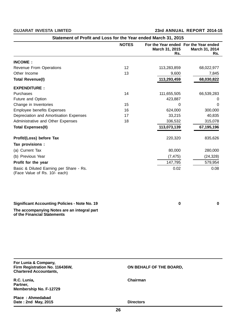| Statement of Profit and Loss for the Year ended March 31, 2015             |              |                       |                                                                |  |  |  |
|----------------------------------------------------------------------------|--------------|-----------------------|----------------------------------------------------------------|--|--|--|
|                                                                            | <b>NOTES</b> | March 31, 2015<br>Rs. | For the Year ended For the Year ended<br>March 31, 2014<br>Rs. |  |  |  |
| <b>INCOME:</b>                                                             |              |                       |                                                                |  |  |  |
| Revenue From Operations                                                    | 12           | 113,283,859           | 68,022,977                                                     |  |  |  |
| Other Income                                                               | 13           | 9,600                 | 7,845                                                          |  |  |  |
| <b>Total Revenue(I)</b>                                                    |              | 113,293,459           | 68,030,822                                                     |  |  |  |
| <b>EXPENDITURE:</b>                                                        |              |                       |                                                                |  |  |  |
| Purchases                                                                  | 14           | 111,655,505           | 66,539,283                                                     |  |  |  |
| Future and Option                                                          |              | 423,887               | U                                                              |  |  |  |
| Change in Inventories                                                      | 15           | 0                     | 0                                                              |  |  |  |
| <b>Employee benefits Expenses</b>                                          | 16           | 624,000               | 300,000                                                        |  |  |  |
| Depreciation and Amortisation Expenses                                     | 17           | 33,215                | 40,835                                                         |  |  |  |
| Administrative and Other Expenses                                          | 18           | 336,532               | 315,078                                                        |  |  |  |
| <b>Total Expenses(II)</b>                                                  |              | 113,073,139           | 67,195,196                                                     |  |  |  |
| Profit/(Loss) before Tax                                                   |              | 220,320               | 835,626                                                        |  |  |  |
| Tax provisions :                                                           |              |                       |                                                                |  |  |  |
| (a) Current Tax                                                            |              | 80,000                | 280,000                                                        |  |  |  |
| (b) Previous Year                                                          |              | (7, 475)              | (24, 328)                                                      |  |  |  |
| Profit for the year                                                        |              | 147,795               | 579,954                                                        |  |  |  |
| Basic & Diluted Earning per Share - Rs.<br>(Face Value of Rs. 10/- each)   |              | 0.02                  | 0.08                                                           |  |  |  |
| <b>Significant Accounting Policies - Note No. 19</b>                       |              | $\mathbf 0$           | $\mathbf 0$                                                    |  |  |  |
| The accompanying Notes are an integral part<br>of the Financial Statements |              |                       |                                                                |  |  |  |

| For Lunia & Company,<br>Firm Registration No. 116436W,<br><b>Chartered Accountants,</b> | ON BEHALF OF THE BOARD, |
|-----------------------------------------------------------------------------------------|-------------------------|
| R.C. Lunia,<br>Partner,<br>Membership No. F-12729                                       | Chairman                |
| Place: Ahmedabad<br>Date: 2nd May, 2015                                                 | <b>Directors</b>        |
|                                                                                         | 26                      |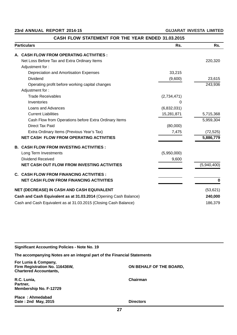| <b>Particulars</b>                                               | Rs.         | Rs.         |
|------------------------------------------------------------------|-------------|-------------|
|                                                                  |             |             |
| A. CASH FLOW FROM OPERATING ACTIVITIES :                         |             |             |
| Net Loss Before Tax and Extra Ordinary Items                     |             | 220,320     |
| Adjustment for:                                                  |             |             |
| Depreciation and Amortisation Expenses                           | 33,215      |             |
| <b>Dividend</b>                                                  | (9,600)     | 23,615      |
| Operating profit before working capital changes                  |             | 243,936     |
| Adjustment for:                                                  |             |             |
| <b>Trade Receivables</b>                                         | (2,734,471) |             |
| Inventories                                                      | 0           |             |
| Loans and Advances                                               | (6,832,031) |             |
| <b>Current Liabilities</b>                                       | 15,281,871  | 5,715,368   |
| Cash Flow from Operations before Extra Ordinary Items            |             | 5,959,304   |
| <b>Direct Tax Paid</b>                                           | (80,000)    |             |
| Extra Ordinary Items (Previous Year's Tax)                       | 7,475       | (72, 525)   |
| <b>NET CASH FLOW FROM OPERATING ACTIVITIES</b>                   |             | 5,886,779   |
| <b>B. CASH FLOW FROM INVESTING ACTIVITIES :</b>                  |             |             |
| Long Term Investments                                            | (5,950,000) |             |
| <b>Dividend Received</b>                                         | 9,600       |             |
| NET CASH OUT FLOW FROM INVESTING ACTIVITIES                      |             | (5,940,400) |
| C. CASH FLOW FROM FINANCING ACTIVITIES :                         |             |             |
| <b>NET CASH FLOW FROM FINANCING ACTIVITIES</b>                   |             | 0           |
| NET (DECREASE) IN CASH AND CASH EQUIVALENT                       |             | (53, 621)   |
| Cash and Cash Equivalent as at 31.03.2014 (Opening Cash Balance) |             | 240,000     |
| Cash and Cash Equivalent as at 31.03.2015 (Closing Cash Balance) |             | 186,379     |

## **CASH FLOW STATEMENT FOR THE YEAR ENDED 31.03.2015**

| <b>Significant Accounting Policies - Note No. 19</b>                                    |                         |
|-----------------------------------------------------------------------------------------|-------------------------|
| The accompanying Notes are an integral part of the Financial Statements                 |                         |
| For Lunia & Company,<br>Firm Registration No. 116436W,<br><b>Chartered Accountants,</b> | ON BEHALF OF THE BOARD, |
| R.C. Lunia,<br>Partner,<br>Membership No. F-12729                                       | Chairman                |
| Place: Ahmedabad<br>Date: 2nd May, 2015                                                 | <b>Directors</b>        |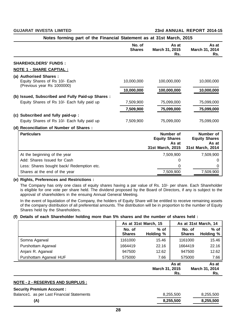| Notes forming part of the Financial Statement as at 31st March, 2015                   |                         |                                   |                                   |  |  |
|----------------------------------------------------------------------------------------|-------------------------|-----------------------------------|-----------------------------------|--|--|
|                                                                                        | No. of<br><b>Shares</b> | As at<br>March 31, 2015<br>Rs.    | As at<br>March 31, 2014<br>Rs.    |  |  |
| <b>SHAREHOLDERS' FUNDS:</b><br><b>NOTE 1 - SHARE CAPTIAL:</b>                          |                         |                                   |                                   |  |  |
| (a) Authorised Shares :<br>Equity Shares of Rs 10/- Each<br>(Previous year Rs 1000000) | 10,000,000              | 100,000,000                       | 10,000,000                        |  |  |
| (b) Issued, Subscribed and Fully Paid-up Shares:                                       | 10,000,000              | 100,000,000                       | 10,000,000                        |  |  |
| Equity Shares of Rs 10/- Each fully paid up                                            | 7,509,900               | 75,099,000                        | 75,099,000                        |  |  |
|                                                                                        | 7,509,900               | 75,099,000                        | 75,099,000                        |  |  |
| (c) Subscribed and fully paid-up :                                                     |                         |                                   |                                   |  |  |
| Equity Shares of Rs 10/- Each fully paid up                                            | 7,509,900               | 75,099,000                        | 75,099,000                        |  |  |
| (d) Reconciliation of Number of Shares :                                               |                         |                                   |                                   |  |  |
| <b>Particulars</b>                                                                     |                         | Number of<br><b>Equity Shares</b> | Number of<br><b>Equity Shares</b> |  |  |

|                                           | $=$ quity $\sim$ inar $\sim$<br>As at | $=$ quity $\sim$ inar $\sim$<br>As at |  |
|-------------------------------------------|---------------------------------------|---------------------------------------|--|
|                                           | 31st March, 2015                      | 31st March, 2014                      |  |
| At the beginning of the year              | 7,509,900                             | 7,509,900                             |  |
| Add: Shares Issued for Cash               |                                       |                                       |  |
| Less: Shares bought back/ Redemption etc. |                                       |                                       |  |
| Shares at the end of the year             | 7,509,900                             | 7,509,900                             |  |

## **(e) Rights, Preferences and Restrictions :**

The Company has only one class of equity shares having a par value of Rs. 10/- per share. Each Shareholder is eligible for one vote per share held. The dividend proposed by the Board of Directors, if any is subject to the approval of shareholders in the ensuing Annual General Meeting.

In the event of liquidation of the Company, the holders of Equity Share will be entitled to receive remaining assets of the company distribution of all preferential amounts. The distribution will be in proportion to the number of Equity Shares held by the Shareholders.

#### **(f) Details of each Shareholder holding more than 5% shares and the number of shares held :**

|                                            |               | As at 31st March, 15 |               | As at 31st March, 14 |
|--------------------------------------------|---------------|----------------------|---------------|----------------------|
|                                            | No. of        | $%$ of               | No. of        | $%$ of               |
|                                            | <b>Shares</b> | <b>Holding %</b>     | <b>Shares</b> | <b>Holding %</b>     |
| Somna Agarwal                              | 1161000       | 15.46                | 1161000       | 15.46                |
| Purshottam Agarwal                         | 1664419       | 22.16                | 1664419       | 22.16                |
| Anjani R. Agarwal                          | 947500        | 12.62                | 947500        | 12.62                |
| Purshottam Agarwal HUF                     | 575000        | 7.66                 | 575000        | 7.66                 |
|                                            |               |                      | As at         | As at                |
|                                            |               | March 31, 2015       |               | March 31, 2014       |
|                                            |               |                      | Rs.           | Rs.                  |
| <u>NOTE - 2 - RESERVES AND SURPLUS :</u>   |               |                      |               |                      |
| <b>Security Premium Account:</b>           |               |                      |               |                      |
| Balance1. as per Last Financial Statements |               |                      | 8,255,500     | 8,255,500            |
| (A)                                        |               |                      | 8,255,500     | 8,255,500            |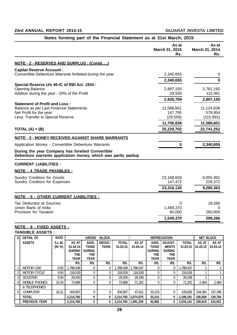| As at<br>As at<br>March 31, 2015<br>March 31, 2014<br>Rs.<br>Rs.<br>2,340,655<br>0<br>0<br>2,340,655<br>2,897,150<br>2,781,160<br>29,559<br>115,991<br>2,926,709<br>2,897,150<br>Balance as per Last Financial Statements<br>11,588,601<br>11,124,638<br>147,795<br>579,954<br>(29, 559)<br>(115, 991)<br>11,706,838<br>11,588,601<br>25,229,702<br>TOTAL $(A) + (B)$<br>22,741,252<br>$\mathbf 0$<br>2,340,655<br>23,168,658<br>9,055,991<br>229,372<br>147,472<br>23,316,130<br>9,285,363<br>18,266<br>0<br>1,469,370<br>0<br>80,000<br>280,000<br>1,549,370<br>298,266 | Notes forming part of the Financial Statement as at 31st March, 2015                                                                                          |  |  |  |  |
|---------------------------------------------------------------------------------------------------------------------------------------------------------------------------------------------------------------------------------------------------------------------------------------------------------------------------------------------------------------------------------------------------------------------------------------------------------------------------------------------------------------------------------------------------------------------------|---------------------------------------------------------------------------------------------------------------------------------------------------------------|--|--|--|--|
|                                                                                                                                                                                                                                                                                                                                                                                                                                                                                                                                                                           |                                                                                                                                                               |  |  |  |  |
|                                                                                                                                                                                                                                                                                                                                                                                                                                                                                                                                                                           | <u>NOTE - 2 - RESERVES AND SURPLUS : (Contd)</u>                                                                                                              |  |  |  |  |
|                                                                                                                                                                                                                                                                                                                                                                                                                                                                                                                                                                           | <b>Capital Reserve Account:</b><br>Convertible Debenture Warrants forfeited during the year                                                                   |  |  |  |  |
|                                                                                                                                                                                                                                                                                                                                                                                                                                                                                                                                                                           | Special Reserve U/s 45-IC of RBI Act. 1934 :<br><b>Opening Balance</b><br>Additon during the year - 20% of the Profit<br><b>Statement of Profit and Loss:</b> |  |  |  |  |
|                                                                                                                                                                                                                                                                                                                                                                                                                                                                                                                                                                           | Net Profit for the year<br>Less: Transfer to Special Reserve                                                                                                  |  |  |  |  |
|                                                                                                                                                                                                                                                                                                                                                                                                                                                                                                                                                                           |                                                                                                                                                               |  |  |  |  |
|                                                                                                                                                                                                                                                                                                                                                                                                                                                                                                                                                                           | <b>NOTE - 3 - MONEY RECEIVED AGAINST SHARE WARRANTS</b>                                                                                                       |  |  |  |  |
|                                                                                                                                                                                                                                                                                                                                                                                                                                                                                                                                                                           | Application Money - Convertible Debenture Warrants                                                                                                            |  |  |  |  |
|                                                                                                                                                                                                                                                                                                                                                                                                                                                                                                                                                                           | During the year Company has foreited Convertible<br>Debenture warrants application money, which was partly paidup                                             |  |  |  |  |
|                                                                                                                                                                                                                                                                                                                                                                                                                                                                                                                                                                           | <b>CURRENT LIABILITIES:</b>                                                                                                                                   |  |  |  |  |
|                                                                                                                                                                                                                                                                                                                                                                                                                                                                                                                                                                           | <u>NOTE - 4 TRADE PAYABLES :</u>                                                                                                                              |  |  |  |  |
|                                                                                                                                                                                                                                                                                                                                                                                                                                                                                                                                                                           | <b>Sundry Creditors for Goods</b><br><b>Sundry Creditors for Expenses</b>                                                                                     |  |  |  |  |
|                                                                                                                                                                                                                                                                                                                                                                                                                                                                                                                                                                           |                                                                                                                                                               |  |  |  |  |
|                                                                                                                                                                                                                                                                                                                                                                                                                                                                                                                                                                           | <u>NOTE - 5 - OTHER CURRENT LIABILITIES :</u>                                                                                                                 |  |  |  |  |
|                                                                                                                                                                                                                                                                                                                                                                                                                                                                                                                                                                           | Tax Deducted at Sources<br>Union Bank of India<br>Provision for Taxation                                                                                      |  |  |  |  |

## **NOTE - 6 - FIXED ASSETS :**

**TANGIBLE ASSETS :**

| S. | <b>DETAIL OF</b>     | <b>RATE</b> |                       | <b>GROSS</b>         | <b>BLOCK</b> |              |           |                       | <b>DEPRECIATION</b>         |              | <b>NET BLOCK</b> |          |
|----|----------------------|-------------|-----------------------|----------------------|--------------|--------------|-----------|-----------------------|-----------------------------|--------------|------------------|----------|
|    | <b>ASSETS</b>        | S.L.M.      | AS AT                 | ADDI-                | DEDUC-       | <b>TOTAL</b> | AS AT     | ADDI-                 | ADJUST-                     | <b>TOTAL</b> | AS AT            | AS AT    |
|    |                      | (IN %)      | 01.04.14              | <b>TIONS</b>         | <b>TIONS</b> | 31.03.15     | 01.04.14  | <b>TIONS</b>          | <b>MENTS</b>                | 31.03.15     | 31.03.15         | 31.03.14 |
|    |                      |             | <b>DURING</b><br>THE. | <b>DURING</b><br>THE |              |              |           | <b>DURING</b><br>THE. | <b>DURING</b><br><b>THE</b> |              |                  |          |
|    |                      |             | YEAR                  | <b>YEAR</b>          |              |              |           | <b>YEAR</b>           | <b>YEAR</b>                 |              |                  |          |
|    |                      |             | RS.                   | RS.                  | RS.          | RS.          | RS.       | RS.                   | RS.                         | RS.          | RS.              | RS.      |
|    | <b>MOTOR CAR</b>     | 9.50        | ,788,438              | 0                    |              | ,788,438     | 1,788,437 | $\Omega$              | 0                           | ,788,437     |                  |          |
|    | <b>MOTOR CYCLE</b>   | 9.50        | 118,529               | $\theta$             | 0            | 118,529      | 118,528   | $\Omega$              | 0                           | 118,528      |                  |          |
| 3  | <b>SCOOTER</b>       | 9.50        | 29,200                | $\theta$             | 0            | 29,200       | 29,199    | $\Omega$              | 0                           | 29,199       |                  |          |
|    | MOBILE PHONES        | 10.34       | 73.686                | 0                    | 0            | 73.686       | 71.202    | $\Omega$              | 0                           | 71.202       | 2,484            | 2,484    |
|    | & TELEPHONES         |             |                       |                      |              |              |           |                       |                             |              |                  |          |
| 5  | <b>COMPUTER</b>      | 16.21       | 204.907               | 0                    | 0            | 204.907      | 67.611    | 33.215                | 0                           | 100.826      | 104.081          | 137.296  |
|    | <b>TOTAL</b>         |             | 2.214.760             | 0                    |              | 2.214.760    | 2,074,976 | 33,215                | 0                           | 2.108.191    | 106.569          | 139,784  |
|    | <b>PREVIOUS YEAR</b> |             | 2,214,760             | 0                    |              | 2,214,760    | 1,991,259 | 42,882                | 0                           | 2,034,141    | 180,619          | 223,501  |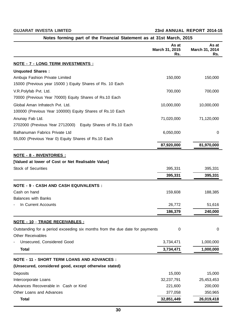|                                                                              | As at<br>March 31, 2015<br>Rs. | As at<br>March 31, 2014<br>Rs. |
|------------------------------------------------------------------------------|--------------------------------|--------------------------------|
| <u>NOTE - 7 - LONG TERM INVESTMENTS :</u>                                    |                                |                                |
| <b>Unquoted Shares:</b>                                                      |                                |                                |
| Ambuja Fashion Private Limited                                               | 150,000                        | 150,000                        |
| 15000 (Previous year 15000) Equity Shares of Rs. 10 Each                     |                                |                                |
| V.R.Polyfab Pvt. Ltd.                                                        | 700,000                        | 700,000                        |
| 70000 (Previous Year 70000) Equity Shares of Rs.10 Each                      |                                |                                |
| Global Aman Infratech Pvt. Ltd.                                              | 10,000,000                     | 10,000,000                     |
| 100000 (Previous Year 100000) Equity Shares of Rs.10 Each                    |                                |                                |
| Anunay Fab Ltd.                                                              | 71,020,000                     | 71,120,000                     |
| 2702000 (Previous Year 2712000)<br>Equity Shares of Rs.10 Each               |                                |                                |
| Balhanuman Fabrics Private Ltd                                               | 6,050,000                      | 0                              |
| 55,000 (Previous Year 0) Equity Shares of Rs.10 Each                         |                                |                                |
|                                                                              | 87,920,000                     | 81,970,000                     |
| <u>NOTE - 8 - INVENTORIES :</u>                                              |                                |                                |
| [Valued at lower of Cost or Net Realisable Value]                            |                                |                                |
| <b>Stock of Securities</b>                                                   | 395,331                        | 395,331                        |
|                                                                              | 395,331                        | 395,331                        |
|                                                                              |                                |                                |
| <b>NOTE - 9 - CASH AND CASH EQUIVALENTS :</b>                                |                                |                                |
| Cash on hand                                                                 | 159,608                        | 188,385                        |
| <b>Balances with Banks</b>                                                   |                                |                                |
| In Current Accounts                                                          | 26,772                         | 51,616                         |
|                                                                              | 186,379                        | 240,000                        |
| <u>NOTE - 10 - TRADE RECEIVABLES :</u>                                       |                                |                                |
| Outstanding for a period exceeding six months from the due date for payments | 0                              | 0                              |
| <b>Other Receivables</b>                                                     |                                |                                |
| Unsecured, Considered Good                                                   | 3,734,471                      | 1,000,000                      |
| <b>Total</b>                                                                 | 3,734,471                      | 1,000,000                      |
| <b>NOTE - 11 - SHORT TERM LOANS AND ADVANCES :</b>                           |                                |                                |
| (Unsecured, considered good, except otherwise stated)                        |                                |                                |
| Deposits                                                                     | 15,000                         | 15,000                         |
| Intercorporate Loans                                                         | 32,237,791                     | 25,453,453                     |
| Advances Recoverable in Cash or Kind                                         | 221,600                        | 200,000                        |
| Other Loans and Advances                                                     | 377,058                        | 350,965                        |
| <b>Total</b>                                                                 | 32,851,449                     | 26,019,418                     |

**30**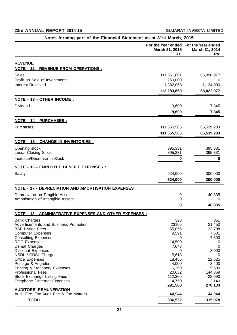| Notes forming part of the Financial Statement as at 31st March, 2015    |                       |                                                                |
|-------------------------------------------------------------------------|-----------------------|----------------------------------------------------------------|
|                                                                         | March 31, 2015<br>Rs. | For the Year ended For the Year ended<br>March 31, 2014<br>Rs. |
| <b>REVENUE</b>                                                          |                       |                                                                |
| <u>NOTE - 12 - REVENUE FROM OPERATIONS :</u>                            |                       |                                                                |
| <b>Sales</b>                                                            | 111,651,801           | 66,898,977                                                     |
| Profit on Sale of Investments                                           | 250,000               | O                                                              |
| <b>Interest Received</b>                                                | 1,382,058             | 1,124,000                                                      |
|                                                                         | 113,283,859           | 68,022,977                                                     |
| NOTE - 13 - OTHER INCOME:                                               |                       |                                                                |
| Dividend                                                                | 9,600                 | 7,845                                                          |
|                                                                         | 9,600                 | 7,845                                                          |
| NOTE - 14 - PURCHASES :                                                 |                       |                                                                |
| Purchases                                                               | 111,655,505           | 66,539,283                                                     |
|                                                                         | 111,655,505           | 66,539,283                                                     |
| NOTE - 15 - CHANGE IN INVENTORIES :                                     |                       |                                                                |
| Opening stock                                                           | 395,331               | 395,331                                                        |
| Less:- Closing Stock                                                    | 395,331               | 395,331                                                        |
| Increase/Decrease in Stock                                              | 0                     | 0                                                              |
| <u>NOTE - 16 - EMPLOYEE BENEFIT EXPENSES :</u>                          |                       |                                                                |
| Salary                                                                  | 624,000               | 300,000                                                        |
|                                                                         | 624,000               | 300,000                                                        |
| <u>NOTE - 17 - DEPRECIATION AND AMORTISATION EXPENSES :</u>             |                       |                                                                |
| Depreciaton on Tangible Assets                                          | 0                     | 40,835                                                         |
| Amortisation of Intangible Assets                                       | 0                     | 0                                                              |
|                                                                         | 0                     | 40,835                                                         |
| <u>NOTE - 18 - ADMINISTRATIVE EXPENSES AND OTHER EXPENSES :</u>         |                       |                                                                |
| <b>Bank Charges</b>                                                     | 328                   | 351                                                            |
| Advertisements and Business Promotion<br><b>BSE Listing Fees</b>        | 23105<br>55,056       | 21,450<br>33,708                                               |
| <b>Computer Expenses</b>                                                | 9,591                 | 7,501                                                          |
| <b>Consulting Expenses</b>                                              | 0                     | 7,500                                                          |
| <b>ROC Expenses</b>                                                     | 14,500                | U                                                              |
| Demat Charges                                                           | 7,043                 | 0                                                              |
| <b>Discount Expenses</b><br>NSDL / CDSL Charges                         | 0<br>5,618            | 3,000<br>0                                                     |
| <b>Office Expenses</b>                                                  | 18,455                | 12,625                                                         |
| Postage & Angadia                                                       | 4,000                 | 3,400                                                          |
| <b>Printing &amp; Stationery Expenses</b>                               | 6,150                 | 5,500                                                          |
| <b>Professional Fees</b>                                                | 20,632                | 144,869                                                        |
| Stock Exchange Listing Fees<br>Telephone / Internet Expenses            | 112,360<br>14,750     | 28,090<br>2,140                                                |
|                                                                         | 291,588               | 270,134                                                        |
| <b>AUDITORS' REMUNERATION</b><br>Audit Fee, Tax Audit Fee & Tax Matters | 44,944                | 44,944                                                         |
| <b>TOTAL</b>                                                            | 336,532               | 315,078                                                        |

# **Notes forming part of the Financial Statement as at 31st March, 2015**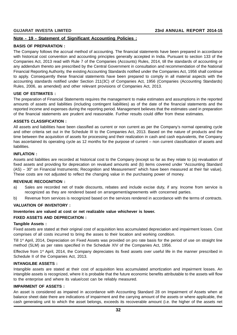## **Note - 19 - Statement of Significant Accounting Policies :**

## **BASIS OF PREPARATION :**

The Company follows the accrual method of accounting. The financial statements have been prepared in accordance with historical cost convention and accounting principles generally accepted in India. Pursuant to section 133 of the Companies Act, 2013 read with Rule 7 of the Companies (Accounts) Rules, 2014, till the standards of accounting or any addendum thereto are prescribed by the Central Government in consultation and recommendation of the National Financial Reporting Authority, the existing Accounting Standards notified under the Companies Act, 1956 shall continue to apply. Consequently these financial statements have been prepared to comply in all material aspects with the accounting standards notified under Section 211(3C) of Companies Act, 1956 (Companies (Accounting Standards) Rules, 2006, as amended) and other relevant provisions of Companies Act, 2013.

## **USE OF ESTIMATES :**

The preparation of Financial Statements requires the management to make estimates and assumptions in the reported amounts of assets and liabilities (including contingent liabilities) as of the date of the financial statements and the reported income and expenses during the reporting period. Management believes that the estimates used in preparation of the financial statements are prudent and reasonable. Further results could differ from these estimates.

## **ASSETS CLASSIFICATION :**

All assets and liabilities have been classified as current or non current as per the Company's normal operating cycle and other criteria set out in the Schedule III to the Companies Act, 2013. Based on the nature of products and the time between the acquisition of assets for processing and their realization in cash and cash equivalents, the Company has ascertained its operating cycle as 12 months for the purpose of current – non current classification of assets and liabilities.

## **INFLATION :**

Assets and liabilities are recorded at historical cost to the Company (except so far as they relate to (a) revaluation of fixed assets and providing for deprecation on revalued amounts and (b) items covered under "Accounting Standard (AS) – 30" on Financial Instruments; Recognition and Measurement" which have been measured at their fair value). These costs are not adjusted to reflect the changing value in the purchasing power of money.

## **REVENUE RECOGNITION :**

- a) Sales are recorded net of trade discounts, rebates and include excise duty, if any. Income from service is recognized as they are rendered based on arrangement/agreements with concerned parties.
- b) Revenue from services is recognized based on the services rendered in accordance with the terms of contracts.

## **VALUATION OF INVENTORY :**

### **Inventories are valued at cost or net realizable value whichever is lower.**

## **FIXED ASSETS AND DEPRECIATION :**

### **Tangible Assets :**

Fixed assets are stated at their original cost of acquisition less accumulated depreciation and impairment losses. Cost comprises of all costs incurred to bring the asses to their location and working condition.

Till 1st April, 2014, Depreciation on Fixed Assets was provided on pro rate basis for the period of use on straight line method (SLM) as per rates specified in the Schedule XIV of the Companies Act, 1956.

Effective from 1<sup>st</sup> April, 2014, the Company depreciates its fixed assets over useful life in the manner prescribed in Schedule II of the Companies Act, 2013.

### **INTANGILBE ASSETS :**

Intangible assets are stated at their cost of acquisition less accumulated amortization and impairment losses. An intangible assets is recognized, where it is probable that the future economic benefits attributable to the assets will flow to the enterprise and where its value/cost can be reliably measured.

## **IMPARMENT OF ASSETS :**

An asset is considered as impaired in accordance with Accounting Standard 28 on Impairment of Assets when at balance sheet date there are indications of impairment and the carrying amount of the assets or where applicable, the cash generating unit to which the asset belongs, exceeds its recoverable amount (i.e. the higher of the assets net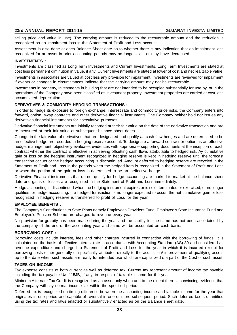selling price and value in use). The carrying amount is reduced to the recoverable amount and the reduction is recognized as an impairment loss in the Statement of Profit and Loss account.

Assessment is also done at each Balance Sheet date as to whether there is any indication that an impairment loss recognized for an asset in prior accounting periods may no longer exist or may have decreased

### **INVESTMENTS :**

Investments are classified as Long Term Investments and Current Investments. Long Term Investments are stated at cost less permanent diminution in value, if any. Current Investments are stated at lower of cost and net realizable value.

Investments in associates are valued at cost less any provision for impairment. Investments are reviewed for impairment if events or changes in circumstances indicate that the carrying amount may not be recoverable.

Investments in property, Investments in building that are not intended to be occupied substantially for use by, or in the operations of the Company have been classified as investment property. Investment properties are carried at cost less accumulated depreciation.

## **DERIVATIVES & COMMODITY HEDGING TRANSACTIONS :**

In order to hedge its exposure to foreign exchange, interest rate and commodity price risks, the Company enters into forward, option, swap contracts and other derivative financial instruments. The Company neither hold nor issues any derivatives financial instruments for speculative purposes.

Derivative financial instruments are initially recorded at their fair value on the date of the derivative transaction and are re-measured at their fair value at subsequent balance sheet dates.

Change in the fair value of derivatives that are designated and qualify as cash flow hedges and are determined to be an effective hedge are recorded in hedging reserve account. To designate a forward contract or option as an effective hedge, management, objectively evaluates evidences with appropriate supporting documents at the inception of each contract whether the contract is effective in achieving offsetting cash flows attributable to hedged risk. Ay cumulative gain or loss on the hedging instrument recognized in hedging reserve is kept in hedging reserve until the forecast transaction occurs or the hedged accounting is discontinued. Amount deferred to hedging reserve are recycled in the Statement of Profit and Loss in the periods when the hedged item is recognized in the Statement of Profit and Loss or when the portion of the gain or loss is determined to be an ineffective hedge.

Derivative Financial instruments that do not qualify for hedge accounting are marked to market at the balance sheet date and gains or losses are recognized in the Statement of Profit and Loss immediately.

Hedge accounting is discontinued when the hedging instrument expires or is sold, terminated or exercised, or no longer qualifies for hedge accounting. If a hedged transaction is no longer expected to occur, the net cumulative gain or loss recognized in hedging reserve is transferred to profit of Loss for the year.

### **EMPLOYEE BENEFITS :**

The Company's Contributions to State Plans namely Employees Provident Fund, Employee's State Insurance Fund and Employee's Pension Scheme are charged to revenue every year.

No provision for gratuity has been made during the year and the liability for the same has not been ascertained by the company till the end of the accounting year and same will be accounted on cash basis.

## **BORROWING COST :**

Borrowing costs include interest, fees and other charges incurred in connection with the borrowing of funds. It is calculated on the basis of effective interest rate in accordance with Accounting Standard (AS)-30 and considered as revenue expenditure and charged to Statement of Profit and Loss for the year in which it is incurred except for borrowing costs either generally or specifically attributed directly to the acquisition/ improvement of qualifying assets up to the date when such assets are ready for intended use which are capitalized s a part of the Cost of such asset.

### **TAXES ON INCOME :**

Tax expense consists of both current as well as deferred tax. Current tax represent amount of income tax payable including the tax payable U/s 115JB, if any, in respect of taxable income for the year.

Minimum Alternate Tax Credit is recognized as an asset only when and to the extent there is convincing evidence that the Company will pay normal income tax within the specified period.

Deferred tax is recognized on timing difference between the accounting income and taxable income for the year that originates in one period and capable of reversal in one or more subsequent period. Such deferred tax is quantified using the tax rates and laws enacted or substantively enacted as on the Balance sheet date.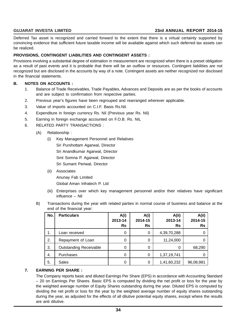Deferred Tax asset is recognized and carried forward to the extent that there is a virtual certainty supported by convincing evidence that sufficient future taxable income will be available against which such deferred tax assets can be realized.

## **PROVISIONS, CONTINGENT LIABILITIES AND CONTINGENT ASSETS :**

Provisions involving a substantial degree of estimation in measurement are recognized when there is a preset obligation as a result of past events and it is probable that there will be an outflow or resources. Contingent liabilities are not recognized but are disclosed in the accounts by way of a note. Contingent assets are neither recognized nor disclosed in the financial statements.

## **B. NOTES ON ACCOUNTS :**

- 1. Balance of Trade Receivables, Trade Payables, Advances and Deposits are as per the books of accounts and are subject to confirmation from respective parties.
- 2. Previous year's figures have been regrouped and rearranged wherever applicable.
- 3. Value of imports accounted on C.I.F. Basis Rs.Nil.
- 4. Expenditure in foreign currency Rs. Nil (Previous year Rs. Nil)
- 5. Earning in foreign exchange accounted on F.O.B. Rs. NIL
- 6. RELATED PARTY TRANSACTIONS :
	- (A) Relationship :
		- (i) Key Management Personnel and Relatives Sri Purshottam Agarwal, Director Sri Anandkumar Agarwal, Director Smt Somna P. Agarwal, Director Sri Sumant Periwal, Director
		- (ii) Associates

Anunay Fab Limited Global Aman Infratech P. Ltd

- (iii) Enterprises over which key management personnel and/or their relatives have significant influence – Nil
- B) Transactions during the year with related parties in normal course of business and balance at the end of the financial year:

| No. | <b>Particulars</b>            | A(i)<br>2013-14 | A(i)<br>2014-15 | A(ii)<br>2013-14 | A(ii)<br>2014-15 |
|-----|-------------------------------|-----------------|-----------------|------------------|------------------|
|     |                               | <b>Rs</b>       | <b>Rs</b>       | <b>Rs</b>        | <b>Rs</b>        |
| 1.  | Loan received                 | 0               | 0               | 4,39,70,288      |                  |
| 2.  | Repayment of Loan             | 0               | 0               | 11,24,000        |                  |
| 3.  | <b>Outstanding Receivable</b> | 0               | 0               | 0                | 68,290           |
| 4.  | Purchases                     | 0               | 0               | 1,37,19,741      |                  |
| 5.  | <b>Sales</b>                  | 0               | 0               | 1,41,60,232      | 96,08,981        |

## **7. EARNING PER SHARE :**

The Company reports basic and diluted Earnings Per Share (EPS) in accordance with Accounting Standard – 20 on Earnings Per Shares. Basic EPS is computed by dividing the net profit or loss for the year by the weighted average number of Equity Shares outstanding during the year. Diluted EPS is computed by dividing the net profit or loss for the year by the weighted average number of equity shares outstanding during the year, as adjusted for the effects of all dilutive potential equity shares, except where the results are anti dilutive.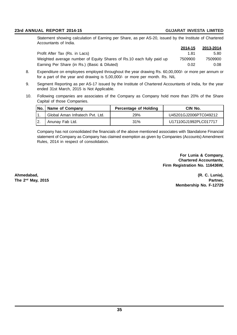Statement showing calculation of Earning per Share, as per AS-20, issued by the Institute of Chartered Accountants of India.

|                                                                      | 2014-15 | 2013-2014 |
|----------------------------------------------------------------------|---------|-----------|
| Profit After Tax (Rs. in Lacs)                                       | 1.81    | 5.80      |
| Weighted average number of Equity Shares of Rs.10 each fully paid up | 7509900 | 7509900   |
| Earning Per Share (in Rs.) (Basic & Diluted)                         | 0.02    | 0.08      |

- 8. Expenditure on employees employed throughout the year drawing Rs. 60,00,000/- or more per annum or for a part of the year and drawing is 5,00,000/- or more per month. Rs. NIL
- 9. Segment Reporting as per AS-17 issued by the Institute of Chartered Accountants of India, for the year ended 31st March, 2015 is Not Applicable.
- 10. Following companies are associates of the Company as Company hold more than 20% of the Share Capital of those Companies.

| No.   Name of Company           | <b>Percentage of Holding</b> | CIN No.               |
|---------------------------------|------------------------------|-----------------------|
| Global Aman Infratech Pvt. Ltd. | 29%                          | U45201GJ2006PTC049212 |
| ' Anunay Fab Ltd.               | 31%                          | U17110GJ1992PLC017717 |

Company has not consolidated the financials of the above mentioned associates with Standalone Financial statement of Company as Company has claimed exemption as given by Companies (Accounts) Amendment Rules, 2014 in respect of consolidation.

> **For Lunia & Company, Chartered Accountants, Firm Registration No. 116436W,**

**Ahmedabad, (R. C. Lunia), The 2nd May, 2015 Partner, Membership No. F-12729**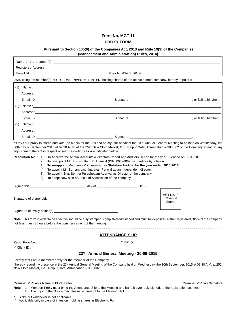#### **Form No. MGT-11**

### **PROXY FORM**

#### **[Pursuant to Section 105(6) of the Companies Act, 2013 and Rule 19(3) of the Companies (Management and Administration) Rules, 2014]**

| Name of the member(s): |                         |
|------------------------|-------------------------|
| Registered Address:    |                         |
| E-mail Id:             | Folio No./Client DP Id: |

I/We, being the member(s) of GUJARAT INVESTA LIMITED, holding shares of the above named company, hereby appoint ::

| (1) |                                                                                                                                                                                                                                |                                                                                                                                                                                                                                |  |
|-----|--------------------------------------------------------------------------------------------------------------------------------------------------------------------------------------------------------------------------------|--------------------------------------------------------------------------------------------------------------------------------------------------------------------------------------------------------------------------------|--|
|     | Address :____________________                                                                                                                                                                                                  |                                                                                                                                                                                                                                |  |
|     |                                                                                                                                                                                                                                |                                                                                                                                                                                                                                |  |
| (2) |                                                                                                                                                                                                                                |                                                                                                                                                                                                                                |  |
|     |                                                                                                                                                                                                                                |                                                                                                                                                                                                                                |  |
|     |                                                                                                                                                                                                                                | Signature : Signature : Signature : Signature : Signature : Signature : Signature : Signature : Signature : Signature : Signature : Signature : Signature : Signature : Signature : Signature : Signature : Signature : Signat |  |
| (2) |                                                                                                                                                                                                                                |                                                                                                                                                                                                                                |  |
|     | Address: Note that the set of the set of the set of the set of the set of the set of the set of the set of the set of the set of the set of the set of the set of the set of the set of the set of the set of the set of the s |                                                                                                                                                                                                                                |  |
|     |                                                                                                                                                                                                                                |                                                                                                                                                                                                                                |  |

as my / our proxy to attend and vote (on a poll) for me / us and on my /our behalf at the 23<sup>rd</sup> Annual General Meeting to be held on Wednesday, the 30th day of September 2015 at 09:30 A..M. at the 252, New Cloth Market, O/S. Raipur Gate, Ahmedabad – 380 002 of the Company at and at any adjournment thereof in respect of such resolutions as are indicated below:

**Resolution No. :** 1) To Approve the Annual Accounts & directors Report and Auditors Report for the year ended on 31.03.2015

2) To re-appoint Mr. Purushottam R. Agarwal (DIN: 00396869) who retires by rotation.

**3) To re-appoint** M/s. Lunia & Company **as Statutory Auditor for the year ended 2015-2016.**

4) To appoint Mr. Sumant Laxminarayan Periwal as an Independent director.

5) To appoint Smt. Somna Purushottam Agarwal as Director of the company.

6) To adopt New sets of Article of Association of the company.

| Signed this state of the state of the state of the state of the state of the state of the state of the state of the state of the state of the state of the state of the state of the state of the state of the state of the st | day of | 2015 |                                  |
|--------------------------------------------------------------------------------------------------------------------------------------------------------------------------------------------------------------------------------|--------|------|----------------------------------|
| Signature of shareholder                                                                                                                                                                                                       |        |      | Affix Re.1/-<br>Revenue<br>Stamp |
| Signature of Proxy holder(s)                                                                                                                                                                                                   |        |      |                                  |
| Note: This form in order to be effective should be duly stamped, completed and signed and must be deposited at the Regis                                                                                                       |        |      |                                  |

stered Office of the company, not less than 48 hours before the commencement of the meeting. - - - - - - - - - - - - - - - - - - - - - - - - - - - - - - - - - - - - - - - - - - - - - - - - - - - - - - - - - - - - - - - - - - - - - - - - - - - - - - - - - - - - - - - - - - - - - - - - - - - - - - - - - - -

#### **ATTENDANCE SLIP**

Regd. Folio No.:\_\_\_\_\_\_\_\_\_\_\_\_\_\_\_\_\_\_\_\_\_\_\_\_\_\_\_\_\_\_\_\_\_\_\_\_\_\_\_\_\_\_\_\_\_\_\_ \*\* DP ID :\_\_\_\_\_\_\_\_\_\_\_\_\_\_\_\_\_\_\_\_\_\_\_\_\_\_\_\_\_\_\_\_\_\_\_\_\_\_\_\_\_\_\_\_\_\_\_

#### $**$  Client ID :

#### **23rd Annual General Meeting - 30-09-2015**

I certify that I am a member/ proxy for the member of the Company.

I hereby record my presence at the 23<sup>rd</sup> Annual General Meeting of the Company held on Wednesday, the 30th September, 2015 at 09:30 A.M. at 252, New Cloth Market, O/S. Raipur Gate, Ahmedabad – 380 002.

\_\_\_\_\_\_\_\_\_\_\_\_\_\_\_\_\_\_\_\_\_\_\_\_\_\_\_\_\_\_\_\_\_\_\_\_ \_\_\_\_\_\_\_\_\_\_\_\_\_\_\_\_\_\_\_\_\_\_\_\_\_\_\_\_\_\_\_\_\_\_\_\_

\*Member's/ Proxy's Name in Block Letter \*Member's/ Proxy Signature \*Member's/ Proxy Signature

**Note :** 1. Member/ Proxy must bring the Attendance Slip to the Meeting and hand it over, duly signed, at the registration counter. 2. The copy of the Notice may please be brought to the Meeting Hall.

\* Strike out whichever is not applicable.

Applicable only in case of investors holding shares in Electronic Form.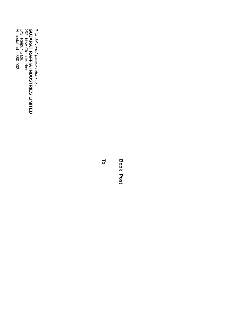*lf Undelivered please return to :*<br>GUJARAT RAFFIA INDUSTRIES LIMITED<br>252, New Cloth Market,<br>O/S. Raipur Gate,<br>Ahmedabad - 380 002. Ahmedabad - 380 002. O/S. Raipur Gate, 252, New Cloth Market, **GUJARAT RAFFIA INDUSTRIES LIMITED** *If Undelivered please return to :*

To

Book Post **Book Post**